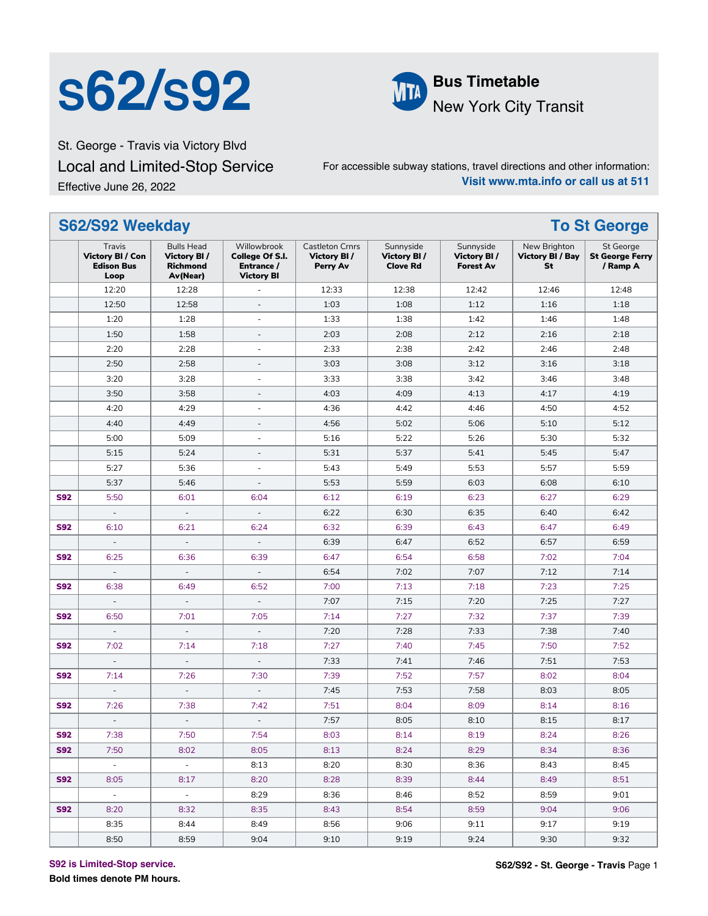# **S62/S92 ML** Bus Timetable



New York City Transit

St. George - Travis via Victory Blvd Local and Limited-Stop Service Effective June 26, 2022

For accessible subway stations, travel directions and other information: **Visit www.mta.info or call us at 511**

|            | S62/S92 Weekday<br><b>To St George</b>                         |                                                          |                                                                   |                                                          |                                             |                                              |                                        |                                                        |  |  |
|------------|----------------------------------------------------------------|----------------------------------------------------------|-------------------------------------------------------------------|----------------------------------------------------------|---------------------------------------------|----------------------------------------------|----------------------------------------|--------------------------------------------------------|--|--|
|            | Travis<br><b>Victory BI / Con</b><br><b>Edison Bus</b><br>Loop | <b>Bulls Head</b><br>Victory BI/<br>Richmond<br>Av(Near) | Willowbrook<br>College Of S.I.<br>Entrance /<br><b>Victory BI</b> | <b>Castleton Crnrs</b><br><b>Victory BI/</b><br>Perry Av | Sunnyside<br>Victory BI/<br><b>Clove Rd</b> | Sunnyside<br>Victory BI/<br><b>Forest Av</b> | New Brighton<br>Victory BI / Bay<br>St | <b>St George</b><br><b>St George Ferry</b><br>/ Ramp A |  |  |
|            | 12:20                                                          | 12:28                                                    |                                                                   | 12:33                                                    | 12:38                                       | 12:42                                        | 12:46                                  | 12:48                                                  |  |  |
|            | 12:50                                                          | 12:58                                                    | $\overline{\phantom{a}}$                                          | 1:03                                                     | 1:08                                        | 1:12                                         | 1:16                                   | 1:18                                                   |  |  |
|            | 1:20                                                           | 1:28                                                     | $\overline{\phantom{a}}$                                          | 1:33                                                     | 1:38                                        | 1:42                                         | 1:46                                   | 1:48                                                   |  |  |
|            | 1:50                                                           | 1:58                                                     | $\sim$                                                            | 2:03                                                     | 2:08                                        | 2:12                                         | 2:16                                   | 2:18                                                   |  |  |
|            | 2:20                                                           | 2:28                                                     | $\overline{\phantom{a}}$                                          | 2:33                                                     | 2:38                                        | 2:42                                         | 2:46                                   | 2:48                                                   |  |  |
|            | 2:50                                                           | 2:58                                                     | $\overline{\phantom{a}}$                                          | 3:03                                                     | 3:08                                        | 3:12                                         | 3:16                                   | 3:18                                                   |  |  |
|            | 3:20                                                           | 3:28                                                     | ÷.                                                                | 3:33                                                     | 3:38                                        | 3:42                                         | 3:46                                   | 3:48                                                   |  |  |
|            | 3:50                                                           | 3:58                                                     | $\overline{\phantom{a}}$                                          | 4:03                                                     | 4:09                                        | 4:13                                         | 4:17                                   | 4:19                                                   |  |  |
|            | 4:20                                                           | 4:29                                                     | $\overline{\phantom{a}}$                                          | 4:36                                                     | 4:42                                        | 4:46                                         | 4:50                                   | 4:52                                                   |  |  |
|            | 4:40                                                           | 4:49                                                     | $\overline{\phantom{a}}$                                          | 4:56                                                     | 5:02                                        | 5:06                                         | 5:10                                   | 5:12                                                   |  |  |
|            | 5:00                                                           | 5:09                                                     | ÷.                                                                | 5:16                                                     | 5:22                                        | 5:26                                         | 5:30                                   | 5:32                                                   |  |  |
|            | 5:15                                                           | 5:24                                                     | $\overline{\phantom{a}}$                                          | 5:31                                                     | 5:37                                        | 5:41                                         | 5:45                                   | 5:47                                                   |  |  |
|            | 5:27                                                           | 5:36                                                     | $\overline{\phantom{a}}$                                          | 5:43                                                     | 5:49                                        | 5:53                                         | 5:57                                   | 5:59                                                   |  |  |
|            | 5:37                                                           | 5:46                                                     | $\overline{\phantom{a}}$                                          | 5:53                                                     | 5:59                                        | 6:03                                         | 6:08                                   | 6:10                                                   |  |  |
| <b>S92</b> | 5:50                                                           | 6:01                                                     | 6:04                                                              | 6:12                                                     | 6:19                                        | 6:23                                         | 6:27                                   | 6:29                                                   |  |  |
|            | $\overline{\phantom{a}}$                                       | $\Box$                                                   | $\overline{\phantom{a}}$                                          | 6:22                                                     | 6:30                                        | 6:35                                         | 6:40                                   | 6:42                                                   |  |  |
| <b>S92</b> | 6:10                                                           | 6:21                                                     | 6:24                                                              | 6:32                                                     | 6:39                                        | 6:43                                         | 6:47                                   | 6:49                                                   |  |  |
|            | $\overline{\phantom{a}}$                                       | ÷,                                                       |                                                                   | 6:39                                                     | 6:47                                        | 6:52                                         | 6:57                                   | 6:59                                                   |  |  |
| <b>S92</b> | 6:25                                                           | 6:36                                                     | 6:39                                                              | 6:47                                                     | 6:54                                        | 6:58                                         | 7:02                                   | 7:04                                                   |  |  |
|            | $\blacksquare$                                                 | $\blacksquare$                                           | $\overline{\phantom{a}}$                                          | 6:54                                                     | 7:02                                        | 7:07                                         | 7:12                                   | 7:14                                                   |  |  |
| <b>S92</b> | 6:38                                                           | 6:49                                                     | 6:52                                                              | 7:00                                                     | 7:13                                        | 7:18                                         | 7:23                                   | 7:25                                                   |  |  |
|            | $\overline{\phantom{a}}$                                       | $\Box$                                                   | $\overline{\phantom{a}}$                                          | 7:07                                                     | 7:15                                        | 7:20                                         | 7:25                                   | 7:27                                                   |  |  |
| <b>S92</b> | 6:50                                                           | 7:01                                                     | 7:05                                                              | 7:14                                                     | 7:27                                        | 7:32                                         | 7:37                                   | 7:39                                                   |  |  |
|            | $\overline{\phantom{a}}$                                       | ÷,                                                       | ÷,                                                                | 7:20                                                     | 7:28                                        | 7:33                                         | 7:38                                   | 7:40                                                   |  |  |
| <b>S92</b> | 7:02                                                           | 7:14                                                     | 7:18                                                              | 7:27                                                     | 7:40                                        | 7:45                                         | 7:50                                   | 7:52                                                   |  |  |
|            | $\blacksquare$                                                 | $\overline{\phantom{m}}$                                 |                                                                   | 7:33                                                     | 7:41                                        | 7:46                                         | 7:51                                   | 7:53                                                   |  |  |
| <b>S92</b> | 7:14                                                           | 7:26                                                     | 7:30                                                              | 7:39                                                     | 7:52                                        | 7:57                                         | 8:02                                   | 8:04                                                   |  |  |
|            | $\blacksquare$                                                 | $\blacksquare$                                           | $\overline{\phantom{a}}$                                          | 7:45                                                     | 7:53                                        | 7:58                                         | 8:03                                   | 8:05                                                   |  |  |
| <b>S92</b> | 7:26                                                           | 7:38                                                     | 7:42                                                              | 7:51                                                     | 8:04                                        | 8:09                                         | 8:14                                   | 8:16                                                   |  |  |
|            | $\overline{\phantom{a}}$                                       | $\blacksquare$                                           |                                                                   | 7:57                                                     | 8:05                                        | 8:10                                         | 8:15                                   | 8:17                                                   |  |  |
| <b>S92</b> | 7:38                                                           | 7:50                                                     | 7:54                                                              | 8:03                                                     | 8:14                                        | 8:19                                         | 8:24                                   | 8:26                                                   |  |  |
| <b>S92</b> | 7:50                                                           | 8:02                                                     | 8:05                                                              | 8:13                                                     | 8:24                                        | 8:29                                         | 8:34                                   | 8:36                                                   |  |  |
|            | $\sim$                                                         | $\sim$                                                   | 8:13                                                              | 8:20                                                     | 8:30                                        | 8:36                                         | 8:43                                   | 8:45                                                   |  |  |
| <b>S92</b> | 8:05                                                           | 8:17                                                     | 8:20                                                              | 8:28                                                     | 8:39                                        | 8:44                                         | 8:49                                   | 8:51                                                   |  |  |
|            | $\sim$                                                         | $\sim$                                                   | 8:29                                                              | 8:36                                                     | 8:46                                        | 8:52                                         | 8:59                                   | 9:01                                                   |  |  |
| <b>S92</b> | 8:20                                                           | 8:32                                                     | 8:35                                                              | 8:43                                                     | 8:54                                        | 8:59                                         | 9:04                                   | 9:06                                                   |  |  |
|            | 8:35                                                           | 8:44                                                     | 8:49                                                              | 8:56                                                     | 9:06                                        | 9:11                                         | 9:17                                   | 9:19                                                   |  |  |
|            | 8:50                                                           | 8:59                                                     | 9:04                                                              | 9:10                                                     | 9:19                                        | 9:24                                         | 9:30                                   | 9:32                                                   |  |  |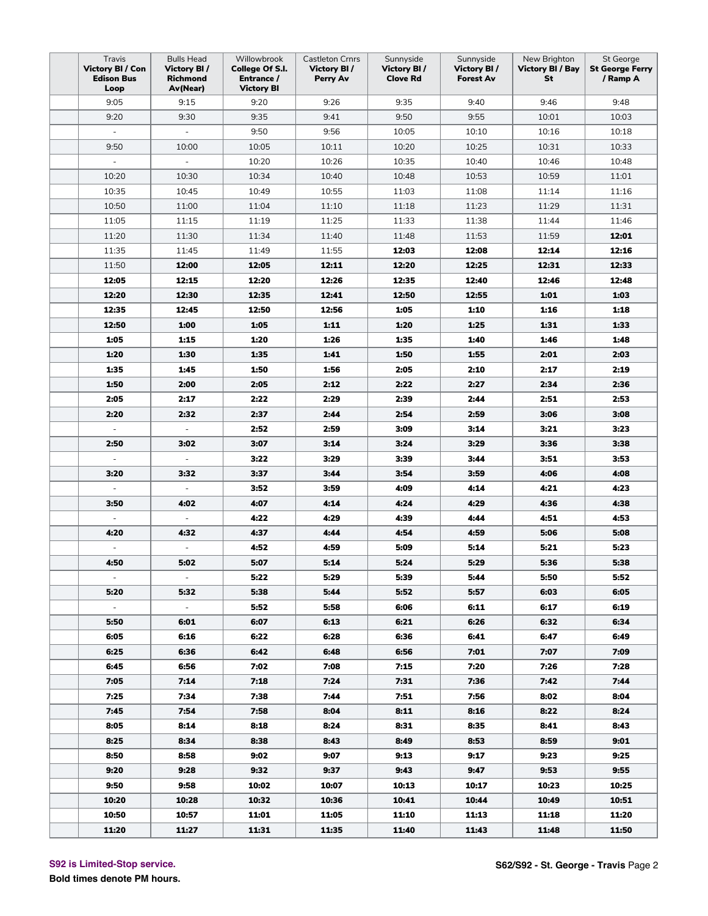| Travis<br>Victory BI / Con<br><b>Edison Bus</b><br>Loop | <b>Bulls Head</b><br>Victory BI/<br>Richmond<br>Av(Near) | Willowbrook<br>College Of S.I.<br>Entrance /<br><b>Victory BI</b> | <b>Castleton Crnrs</b><br>Victory BI/<br>Perry Av | Sunnyside<br>Victory BI/<br><b>Clove Rd</b> | Sunnyside<br>Victory BI/<br><b>Forest Av</b> | New Brighton<br>Victory BI / Bay<br>St | St George<br><b>St George Ferry</b><br>/ Ramp A |
|---------------------------------------------------------|----------------------------------------------------------|-------------------------------------------------------------------|---------------------------------------------------|---------------------------------------------|----------------------------------------------|----------------------------------------|-------------------------------------------------|
| 9:05                                                    | 9:15                                                     | 9:20                                                              | 9:26                                              | 9:35                                        | 9:40                                         | 9:46                                   | 9:48                                            |
| 9:20                                                    | 9:30                                                     | 9:35                                                              | 9:41                                              | 9:50                                        | 9:55                                         | 10:01                                  | 10:03                                           |
| $\omega$                                                | $\overline{\phantom{a}}$                                 | 9:50                                                              | 9:56                                              | 10:05                                       | 10:10                                        | 10:16                                  | 10:18                                           |
| 9:50                                                    | 10:00                                                    | 10:05                                                             | 10:11                                             | 10:20                                       | 10:25                                        | 10:31                                  | 10:33                                           |
| $\overline{\phantom{a}}$                                | $\overline{\phantom{a}}$                                 | 10:20                                                             | 10:26                                             | 10:35                                       | 10:40                                        | 10:46                                  | 10:48                                           |
| 10:20                                                   | 10:30                                                    | 10:34                                                             | 10:40                                             | 10:48                                       | 10:53                                        | 10:59                                  | 11:01                                           |
| 10:35                                                   | 10:45                                                    | 10:49                                                             | 10:55                                             | 11:03                                       | 11:08                                        | 11:14                                  | 11:16                                           |
| 10:50                                                   | 11:00                                                    | 11:04                                                             | 11:10                                             | 11:18                                       | 11:23                                        | 11:29                                  | 11:31                                           |
| 11:05                                                   | 11:15                                                    | 11:19                                                             | 11:25                                             | 11:33                                       | 11:38                                        | 11:44                                  | 11:46                                           |
| 11:20                                                   | 11:30                                                    | 11:34                                                             | 11:40                                             | 11:48                                       | 11:53                                        | 11:59                                  | 12:01                                           |
| 11:35                                                   | 11:45                                                    | 11:49                                                             | 11:55                                             | 12:03                                       | 12:08                                        | 12:14                                  | 12:16                                           |
| 11:50                                                   | 12:00                                                    | 12:05                                                             | 12:11                                             | 12:20                                       | 12:25                                        | 12:31                                  | 12:33                                           |
| 12:05                                                   | 12:15                                                    | 12:20                                                             | 12:26                                             | 12:35                                       | 12:40                                        | 12:46                                  | 12:48                                           |
| 12:20                                                   | 12:30                                                    | 12:35                                                             | 12:41                                             | 12:50                                       | 12:55                                        | 1:01                                   | 1:03                                            |
| 12:35                                                   | 12:45                                                    | 12:50                                                             | 12:56                                             | 1:05                                        | 1:10                                         | 1:16                                   | 1:18                                            |
| 12:50                                                   | 1:00                                                     | 1:05                                                              | 1:11                                              | 1:20                                        | 1:25                                         | 1:31                                   | 1:33                                            |
| 1:05                                                    | 1:15                                                     | 1:20                                                              | 1:26                                              | 1:35                                        | 1:40                                         | 1:46                                   | 1:48                                            |
| 1:20                                                    | 1:30                                                     | 1:35                                                              | 1:41                                              | 1:50                                        | 1:55                                         | 2:01                                   | 2:03                                            |
| 1:35                                                    | 1:45                                                     | 1:50                                                              | 1:56                                              | 2:05                                        | 2:10                                         | 2:17                                   | 2:19                                            |
| 1:50                                                    | 2:00                                                     | 2:05                                                              | 2:12                                              | 2:22                                        | 2:27                                         | 2:34                                   | 2:36                                            |
| 2:05                                                    | 2:17                                                     | 2:22                                                              | 2:29                                              | 2:39                                        | 2:44                                         | 2:51                                   | 2:53                                            |
| 2:20                                                    | 2:32                                                     | 2:37                                                              | 2:44                                              | 2:54                                        | 2:59                                         | 3:06                                   | 3:08                                            |
| $\overline{\phantom{a}}$                                | $\overline{\phantom{a}}$                                 | 2:52                                                              | 2:59                                              | 3:09                                        | 3:14                                         | 3:21                                   | 3:23                                            |
| 2:50                                                    | 3:02                                                     | 3:07                                                              | 3:14                                              | 3:24                                        | 3:29                                         | 3:36                                   | 3:38                                            |
| $\Box$                                                  | $\mathbb{Z}^2$                                           | 3:22                                                              | 3:29                                              | 3:39                                        | 3:44                                         | 3:51                                   | 3:53                                            |
| 3:20                                                    | 3:32                                                     | 3:37                                                              | 3:44                                              | 3:54                                        | 3:59                                         | 4:06                                   | 4:08                                            |
| $\overline{\phantom{m}}$                                | $\overline{\phantom{a}}$                                 | 3:52                                                              | 3:59                                              | 4:09                                        | 4:14                                         | 4:21                                   | 4:23                                            |
| 3:50                                                    | 4:02                                                     | 4:07                                                              | 4:14                                              | 4:24                                        | 4:29                                         | 4:36                                   | 4:38                                            |
| $\overline{\phantom{a}}$                                | $\blacksquare$                                           | 4:22                                                              | 4:29                                              | 4:39                                        | 4:44                                         | 4:51                                   | 4:53                                            |
| 4:20                                                    | 4:32                                                     | 4:37                                                              | 4:44                                              | 4:54                                        | 4:59                                         | 5:06                                   | 5:08                                            |
| $\blacksquare$                                          | $\blacksquare$                                           | 4:52                                                              | 4:59                                              | 5:09                                        | 5:14                                         | 5:21                                   | 5:23                                            |
| 4:50                                                    | 5:02                                                     | 5:07                                                              | 5:14                                              | 5:24                                        | 5:29                                         | 5:36                                   | 5:38                                            |
|                                                         | $\blacksquare$                                           | 5:22                                                              | 5:29                                              | 5:39                                        | 5:44                                         | 5:50                                   | 5:52                                            |
| 5:20                                                    | 5:32                                                     | 5:38                                                              | 5:44                                              | 5:52                                        | 5:57                                         | 6:03                                   | 6:05                                            |
| $\overline{\phantom{a}}$                                | $\blacksquare$                                           | 5:52                                                              | 5:58                                              | 6:06                                        | 6:11                                         | 6:17                                   | 6:19                                            |
| 5:50                                                    | 6:01                                                     | 6:07                                                              | 6:13                                              | 6:21                                        | 6:26                                         | 6:32                                   | 6:34                                            |
| 6:05                                                    | 6:16                                                     | 6:22                                                              | 6:28                                              | 6:36                                        | 6:41                                         | 6:47                                   | 6:49                                            |
| 6:25                                                    | 6:36                                                     | 6:42                                                              | 6:48                                              | 6:56                                        | 7:01                                         | 7:07                                   | 7:09                                            |
| 6:45                                                    | 6:56                                                     | 7:02                                                              | 7:08                                              | 7:15                                        | 7:20                                         | 7:26                                   | 7:28                                            |
| 7:05                                                    | 7:14                                                     | 7:18                                                              | 7:24                                              | 7:31                                        | 7:36                                         | 7:42                                   | 7:44                                            |
| 7:25                                                    | 7:34                                                     | 7:38                                                              | 7:44                                              | 7:51                                        | 7:56                                         | 8:02                                   | 8:04                                            |
| 7:45                                                    | 7:54                                                     | 7:58                                                              | 8:04                                              | 8:11                                        | 8:16                                         | 8:22                                   | 8:24                                            |
| 8:05                                                    | 8:14                                                     | 8:18                                                              | 8:24                                              | 8:31                                        | 8:35                                         | 8:41                                   | 8:43                                            |
| 8:25                                                    | 8:34                                                     | 8:38                                                              | 8:43                                              | 8:49                                        | 8:53                                         | 8:59                                   | 9:01                                            |
| 8:50                                                    | 8:58                                                     | 9:02                                                              | 9:07                                              | 9:13                                        | 9:17                                         | 9:23                                   | 9:25                                            |
| 9:20                                                    | 9:28                                                     | 9:32                                                              | 9:37                                              | 9:43                                        | 9:47                                         | 9:53                                   | 9:55                                            |
| 9:50                                                    | 9:58                                                     | 10:02                                                             | 10:07                                             | 10:13                                       | 10:17                                        | 10:23                                  | 10:25                                           |
| 10:20                                                   | 10:28                                                    | 10:32                                                             | 10:36                                             | 10:41                                       | 10:44                                        | 10:49                                  | 10:51                                           |
| 10:50                                                   | 10:57                                                    | 11:01                                                             | 11:05                                             | 11:10                                       | 11:13                                        | 11:18                                  | 11:20                                           |
| 11:20                                                   | 11:27                                                    | 11:31                                                             | 11:35                                             | 11:40                                       | 11:43                                        | 11:48                                  | 11:50                                           |

**S92 is Limited-Stop service.**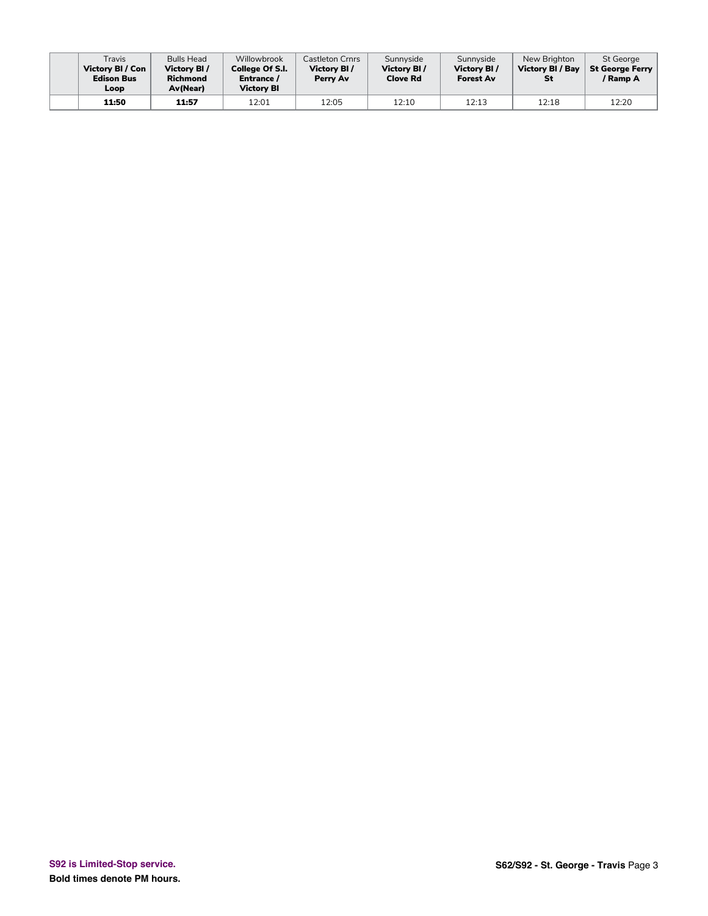| Travis<br>Victory BI / Con<br><b>Edison Bus</b><br>Loop | <b>Bulls Head</b><br>Victory BI /<br><b>Richmond</b><br><b>Av(Near)</b> | Willowbrook<br><b>College Of S.I.</b><br>Entrance /<br>Victory Bl | Castleton Crnrs<br>Victory BI/<br>Perry Av | Sunnyside<br>Victory BI/<br><b>Clove Rd</b> | Sunnyside<br>Victory BI/<br><b>Forest Av</b> | New Brighton<br>Victory BI / Bay<br>St | St George<br>√ St George Ferry<br>' Ramp A |
|---------------------------------------------------------|-------------------------------------------------------------------------|-------------------------------------------------------------------|--------------------------------------------|---------------------------------------------|----------------------------------------------|----------------------------------------|--------------------------------------------|
| 11:50                                                   | 11:57                                                                   | 12:01                                                             | 12:05                                      | 12:10                                       | 12:13                                        | 12:18                                  | 12:20                                      |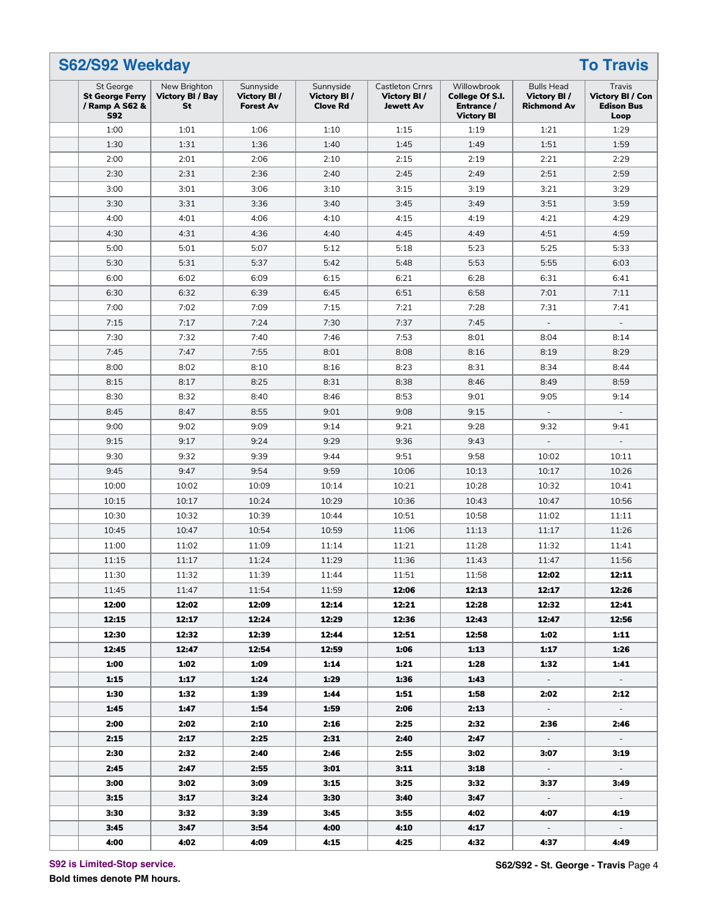| St George<br><b>St George Ferry</b><br>/ Ramp A S62 &<br><b>S92</b> | New Brighton<br>Victory BI / Bay<br>St | Sunnyside<br>Victory BI/<br><b>Forest Av</b> | Sunnyside<br>Victory BI/<br><b>Clove Rd</b> | <b>Castleton Crnrs</b><br>Victory BI/<br><b>Jewett Av</b> | Willowbrook<br>College Of S.I.<br>Entrance /<br><b>Victory BI</b> | <b>Bulls Head</b><br>Victory BI/<br><b>Richmond Av</b> | Travis<br>Victory BI / Con<br><b>Edison Bus</b><br>Loop |
|---------------------------------------------------------------------|----------------------------------------|----------------------------------------------|---------------------------------------------|-----------------------------------------------------------|-------------------------------------------------------------------|--------------------------------------------------------|---------------------------------------------------------|
| 1:00                                                                | 1:01                                   | 1:06                                         | 1:10                                        | 1:15                                                      | 1:19                                                              | 1:21                                                   | 1:29                                                    |
| 1:30                                                                | 1:31                                   | 1:36                                         | 1:40                                        | 1:45                                                      | 1:49                                                              | 1:51                                                   | 1:59                                                    |
| 2:00                                                                | 2:01                                   | 2:06                                         | 2:10                                        | 2:15                                                      | 2:19                                                              | 2:21                                                   | 2:29                                                    |
| 2:30                                                                | 2:31                                   | 2:36                                         | 2:40                                        | 2:45                                                      | 2:49                                                              | 2:51                                                   | 2:59                                                    |
| 3:00                                                                | 3:01                                   | 3:06                                         | 3:10                                        | 3:15                                                      | 3:19                                                              | 3:21                                                   | 3:29                                                    |
| 3:30                                                                | 3:31                                   | 3:36                                         | 3:40                                        | 3:45                                                      | 3:49                                                              | 3:51                                                   | 3:59                                                    |
| 4:00                                                                | 4:01                                   | 4:06                                         | 4:10                                        | 4:15                                                      | 4:19                                                              | 4:21                                                   | 4:29                                                    |
| 4:30                                                                | 4:31                                   | 4:36                                         | 4:40                                        | 4:45                                                      | 4:49                                                              | 4:51                                                   | 4:59                                                    |
| 5:00                                                                | 5:01                                   | 5:07                                         | 5:12                                        | 5:18                                                      | 5:23                                                              | 5:25                                                   | 5:33                                                    |
| 5:30                                                                | 5:31                                   | 5:37                                         | 5:42                                        | 5:48                                                      | 5:53                                                              | 5:55                                                   | 6:03                                                    |
| 6:00                                                                | 6:02                                   | 6:09                                         | 6:15                                        | 6:21                                                      | 6:28                                                              | 6:31                                                   | 6:41                                                    |
| 6:30                                                                | 6:32                                   | 6:39                                         | 6:45                                        | 6:51                                                      | 6:58                                                              | 7:01                                                   | 7:11                                                    |
| 7:00                                                                | 7:02                                   | 7:09                                         | 7:15                                        | 7:21                                                      | 7:28                                                              | 7:31                                                   | 7:41                                                    |
| 7:15                                                                | 7:17                                   | 7:24                                         | 7:30                                        | 7:37                                                      | 7:45                                                              | $\overline{\phantom{a}}$                               |                                                         |
| 7:30                                                                | 7:32                                   | 7:40                                         | 7:46                                        | 7:53                                                      | 8:01                                                              | 8:04                                                   | 8:14                                                    |
| 7:45                                                                | 7:47                                   | 7:55                                         | 8:01                                        | 8:08                                                      | 8:16                                                              | 8:19                                                   | 8:29                                                    |
| 8:00                                                                | 8:02                                   | 8:10                                         | 8:16                                        | 8:23                                                      | 8:31                                                              | 8:34                                                   | 8:44                                                    |
| 8:15                                                                | 8:17                                   | 8:25                                         | 8:31                                        | 8:38                                                      | 8:46                                                              | 8:49                                                   | 8:59                                                    |
| 8:30                                                                | 8:32                                   | 8:40                                         | 8:46                                        | 8:53                                                      | 9:01                                                              | 9:05                                                   | 9:14                                                    |
| 8:45                                                                | 8:47                                   | 8:55                                         | 9:01                                        | 9:08                                                      | 9:15                                                              | $\equiv$                                               |                                                         |
|                                                                     | 9:02                                   | 9:09                                         |                                             |                                                           |                                                                   | 9:32                                                   |                                                         |
| 9:00                                                                |                                        |                                              | 9:14                                        | 9:21                                                      | 9:28                                                              | $\overline{a}$                                         | 9:41                                                    |
| 9:15                                                                | 9:17                                   | 9:24                                         | 9:29                                        | 9:36                                                      | 9:43                                                              |                                                        |                                                         |
| 9:30                                                                | 9:32                                   | 9:39                                         | 9:44                                        | 9:51                                                      | 9:58                                                              | 10:02                                                  | 10:11                                                   |
| 9:45                                                                | 9:47                                   | 9:54                                         | 9:59                                        | 10:06                                                     | 10:13                                                             | 10:17                                                  | 10:26                                                   |
| 10:00                                                               | 10:02                                  | 10:09                                        | 10:14                                       | 10:21                                                     | 10:28                                                             | 10:32                                                  | 10:41                                                   |
| 10:15                                                               | 10:17                                  | 10:24                                        | 10:29                                       | 10:36                                                     | 10:43                                                             | 10:47                                                  | 10:56                                                   |
| 10:30                                                               | 10:32                                  | 10:39                                        | 10:44                                       | 10:51                                                     | 10:58                                                             | 11:02                                                  | 11:11                                                   |
| 10:45                                                               | 10:47                                  | 10:54                                        | 10:59                                       | 11:06                                                     | 11:13                                                             | 11:17                                                  | 11:26                                                   |
| 11:00                                                               | 11:02                                  | 11:09                                        | 11:14                                       | 11:21                                                     | 11:28                                                             | 11:32                                                  | 11:41                                                   |
| 11:15                                                               | 11:17                                  | 11:24                                        | 11:29                                       | 11:36                                                     | 11:43                                                             | 11:47                                                  | 11:56                                                   |
| 11:30                                                               | 11:32                                  | 11:39                                        | 11:44                                       | 11:51                                                     | 11:58                                                             | 12:02                                                  | 12:11                                                   |
| 11:45                                                               | 11:47                                  | 11:54                                        | 11:59                                       | 12:06                                                     | 12:13                                                             | 12:17                                                  | 12:26                                                   |
| 12:00                                                               | 12:02                                  | 12:09                                        | 12:14                                       | 12:21                                                     | 12:28                                                             | 12:32                                                  | 12:41                                                   |
| 12:15                                                               | 12:17                                  | 12:24                                        | 12:29                                       | 12:36                                                     | 12:43                                                             | 12:47                                                  | 12:56                                                   |
| 12:30                                                               | 12:32                                  | 12:39                                        | 12:44                                       | 12:51                                                     | 12:58                                                             | 1:02                                                   | 1:11                                                    |
| 12:45                                                               | 12:47                                  | 12:54                                        | 12:59                                       | 1:06                                                      | 1:13                                                              | 1:17                                                   | 1:26                                                    |
| 1:00                                                                | 1:02                                   | 1:09                                         | 1:14                                        | 1:21                                                      | 1:28                                                              | 1:32                                                   | 1:41                                                    |
| 1:15                                                                | 1:17                                   | 1:24                                         | 1:29                                        | 1:36                                                      | 1:43                                                              | $\sim$                                                 | $\sim$                                                  |
| 1:30                                                                | 1:32                                   | 1:39                                         | 1:44                                        | 1:51                                                      | 1:58                                                              | 2:02                                                   | 2:12                                                    |
| 1:45                                                                | 1:47                                   | 1:54                                         | 1:59                                        | 2:06                                                      | 2:13                                                              | $\sim$                                                 | $\sim$                                                  |
| 2:00                                                                | 2:02                                   | 2:10                                         | 2:16                                        | 2:25                                                      | 2:32                                                              | 2:36                                                   | 2:46                                                    |
| 2:15                                                                | 2:17                                   | 2:25                                         | 2:31                                        | 2:40                                                      | 2:47                                                              | $\sim$                                                 | $\sim$                                                  |
| 2:30                                                                | 2:32                                   | 2:40                                         | 2:46                                        | 2:55                                                      | 3:02                                                              | 3:07                                                   | 3:19                                                    |
| 2:45                                                                | 2:47                                   | 2:55                                         | 3:01                                        | 3:11                                                      | 3:18                                                              | $\sim$                                                 | $\sim$                                                  |
| 3:00                                                                | 3:02                                   | 3:09                                         | 3:15                                        | 3:25                                                      | 3:32                                                              | 3:37                                                   | 3:49                                                    |
| 3:15                                                                | 3:17                                   | 3:24                                         | 3:30                                        | 3:40                                                      | 3:47                                                              | $\sim$                                                 | $\sim$                                                  |
| 3:30                                                                | 3:32                                   | 3:39                                         | 3:45                                        | 3:55                                                      | 4:02                                                              | 4:07                                                   | 4:19                                                    |
| 3:45                                                                | 3:47                                   | 3:54                                         | 4:00                                        | 4:10                                                      | 4.17                                                              | $\sim$                                                 | $\sim$                                                  |
|                                                                     | 4:02                                   | 4:09                                         | 4:15                                        | 4:25                                                      | 4:32                                                              | 4:37                                                   | 4:49                                                    |

**S92 is Limited-Stop service.**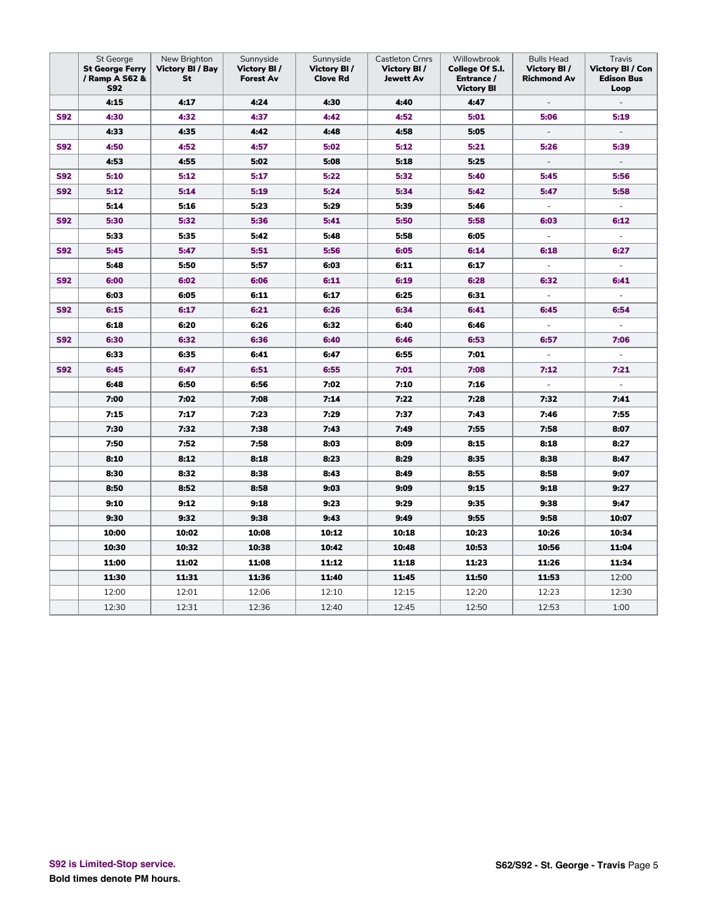|            | St George<br><b>St George Ferry</b><br>/ Ramp A S62 &<br><b>S92</b> | New Brighton<br>Victory BI / Bay<br>St | Sunnyside<br><b>Victory BI/</b><br><b>Forest Av</b> | Sunnyside<br><b>Victory BI/</b><br><b>Clove Rd</b> | Castleton Crnrs<br>Victory BI /<br><b>Jewett Av</b> | Willowbrook<br>College Of S.I.<br>Entrance /<br><b>Victory BI</b> | <b>Bulls Head</b><br><b>Victory BI/</b><br>Richmond Av | Travis<br><b>Victory BI / Con</b><br><b>Edison Bus</b><br>Loop |
|------------|---------------------------------------------------------------------|----------------------------------------|-----------------------------------------------------|----------------------------------------------------|-----------------------------------------------------|-------------------------------------------------------------------|--------------------------------------------------------|----------------------------------------------------------------|
|            | 4:15                                                                | 4:17                                   | 4:24                                                | 4:30                                               | 4:40                                                | 4:47                                                              | $\overline{\phantom{a}}$                               |                                                                |
| <b>S92</b> | 4:30                                                                | 4:32                                   | 4:37                                                | 4:42                                               | 4:52                                                | 5:01                                                              | 5:06                                                   | 5:19                                                           |
|            | 4:33                                                                | 4:35                                   | 4:42                                                | 4:48                                               | 4:58                                                | 5:05                                                              | $\Box$                                                 |                                                                |
| <b>S92</b> | 4:50                                                                | 4:52                                   | 4:57                                                | 5:02                                               | 5:12                                                | 5:21                                                              | 5:26                                                   | 5:39                                                           |
|            | 4:53                                                                | 4:55                                   | 5:02                                                | 5:08                                               | 5:18                                                | 5:25                                                              | $\overline{\phantom{a}}$                               |                                                                |
| <b>S92</b> | 5:10                                                                | 5:12                                   | 5:17                                                | 5:22                                               | 5:32                                                | 5:40                                                              | 5:45                                                   | 5:56                                                           |
| <b>S92</b> | 5:12                                                                | 5:14                                   | 5:19                                                | 5:24                                               | 5:34                                                | 5:42                                                              | 5:47                                                   | 5:58                                                           |
|            | 5:14                                                                | 5:16                                   | 5:23                                                | 5:29                                               | 5:39                                                | 5:46                                                              | $\Box$                                                 | $\overline{\phantom{a}}$                                       |
| <b>S92</b> | 5:30                                                                | 5:32                                   | 5:36                                                | 5:41                                               | 5:50                                                | 5:58                                                              | 6:03                                                   | 6:12                                                           |
|            | 5:33                                                                | 5:35                                   | 5:42                                                | 5:48                                               | 5:58                                                | 6:05                                                              | $\Box$                                                 | $\overline{\phantom{a}}$                                       |
| <b>S92</b> | 5:45                                                                | 5:47                                   | 5:51                                                | 5:56                                               | 6:05                                                | 6:14                                                              | 6:18                                                   | 6:27                                                           |
|            | 5:48                                                                | 5:50                                   | 5:57                                                | 6:03                                               | 6:11                                                | 6:17                                                              | $\blacksquare$                                         |                                                                |
| <b>S92</b> | 6:00                                                                | 6:02                                   | 6:06                                                | 6:11                                               | 6:19                                                | 6:28                                                              | 6:32                                                   | 6:41                                                           |
|            | 6:03                                                                | 6:05                                   | 6:11                                                | 6:17                                               | 6:25                                                | 6:31                                                              | $\overline{\phantom{a}}$                               | $\overline{\phantom{a}}$                                       |
| <b>S92</b> | 6:15                                                                | 6:17                                   | 6:21                                                | 6:26                                               | 6:34                                                | 6:41                                                              | 6:45                                                   | 6:54                                                           |
|            | 6:18                                                                | 6:20                                   | 6:26                                                | 6:32                                               | 6:40                                                | 6:46                                                              | $\overline{\phantom{a}}$                               | $\blacksquare$                                                 |
| <b>S92</b> | 6:30                                                                | 6:32                                   | 6:36                                                | 6:40                                               | 6:46                                                | 6:53                                                              | 6:57                                                   | 7:06                                                           |
|            | 6:33                                                                | 6:35                                   | 6:41                                                | 6:47                                               | 6:55                                                | 7:01                                                              | $\bar{\phantom{a}}$                                    | $\blacksquare$                                                 |
| <b>S92</b> | 6:45                                                                | 6:47                                   | 6:51                                                | 6:55                                               | 7:01                                                | 7:08                                                              | 7:12                                                   | 7:21                                                           |
|            | 6:48                                                                | 6:50                                   | 6:56                                                | 7:02                                               | 7:10                                                | 7:16                                                              | $\overline{\phantom{a}}$                               |                                                                |
|            | 7:00                                                                | 7:02                                   | 7:08                                                | 7:14                                               | 7:22                                                | 7:28                                                              | 7:32                                                   | 7:41                                                           |
|            | 7:15                                                                | 7:17                                   | 7:23                                                | 7:29                                               | 7:37                                                | 7:43                                                              | 7:46                                                   | 7:55                                                           |
|            | 7:30                                                                | 7:32                                   | 7:38                                                | 7:43                                               | 7:49                                                | 7:55                                                              | 7:58                                                   | 8:07                                                           |
|            | 7:50                                                                | 7:52                                   | 7:58                                                | 8:03                                               | 8:09                                                | 8:15                                                              | 8:18                                                   | 8:27                                                           |
|            | 8:10                                                                | 8:12                                   | 8:18                                                | 8:23                                               | 8:29                                                | 8:35                                                              | 8:38                                                   | 8:47                                                           |
|            | 8:30                                                                | 8:32                                   | 8:38                                                | 8:43                                               | 8:49                                                | 8:55                                                              | 8:58                                                   | 9:07                                                           |
|            | 8:50                                                                | 8:52                                   | 8:58                                                | 9:03                                               | 9:09                                                | 9:15                                                              | 9:18                                                   | 9:27                                                           |
|            | 9:10                                                                | 9:12                                   | 9:18                                                | 9:23                                               | 9:29                                                | 9:35                                                              | 9:38                                                   | 9:47                                                           |
|            | 9:30                                                                | 9:32                                   | 9:38                                                | 9:43                                               | 9:49                                                | 9:55                                                              | 9:58                                                   | 10:07                                                          |
|            | 10:00                                                               | 10:02                                  | 10:08                                               | 10:12                                              | 10:18                                               | 10:23                                                             | 10:26                                                  | 10:34                                                          |
|            | 10:30                                                               | 10:32                                  | 10:38                                               | 10:42                                              | 10:48                                               | 10:53                                                             | 10:56                                                  | 11:04                                                          |
|            | 11:00                                                               | 11:02                                  | 11:08                                               | 11:12                                              | 11:18                                               | 11:23                                                             | 11:26                                                  | 11:34                                                          |
|            | 11:30                                                               | 11:31                                  | 11:36                                               | 11:40                                              | 11:45                                               | 11:50                                                             | 11:53                                                  | 12:00                                                          |
|            | 12:00                                                               | 12:01                                  | 12:06                                               | 12:10                                              | 12:15                                               | 12:20                                                             | 12:23                                                  | 12:30                                                          |
|            | 12:30                                                               | 12:31                                  | 12:36                                               | 12:40                                              | 12:45                                               | 12:50                                                             | 12:53                                                  | 1:00                                                           |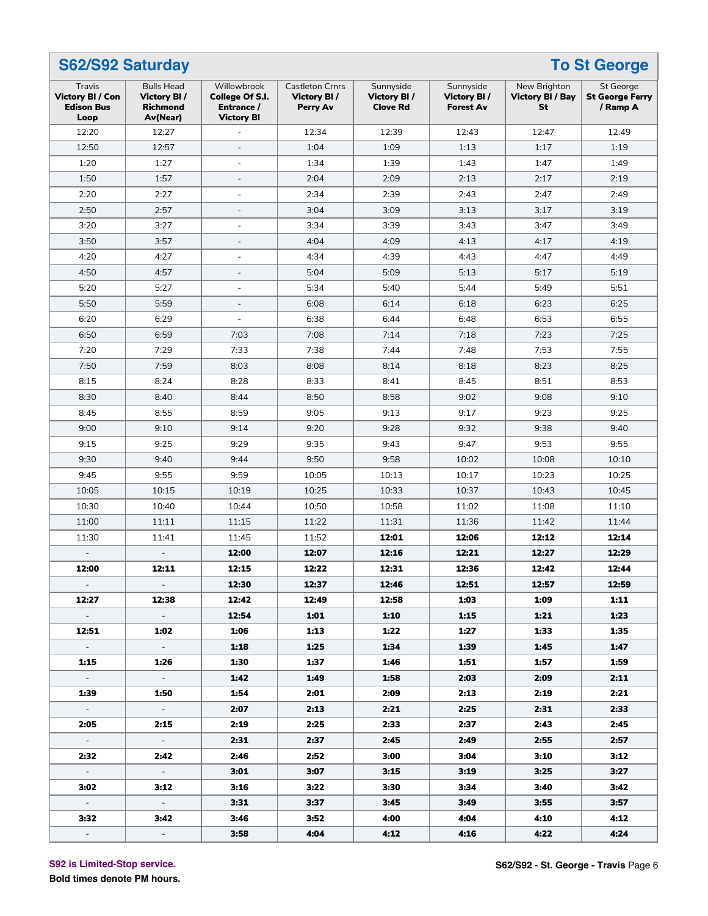|                                                                | S62/S92 Saturday<br><b>To St George</b>                         |                                                                   |                                                   |                                             |                                              |                                               |                                                 |  |  |  |  |  |
|----------------------------------------------------------------|-----------------------------------------------------------------|-------------------------------------------------------------------|---------------------------------------------------|---------------------------------------------|----------------------------------------------|-----------------------------------------------|-------------------------------------------------|--|--|--|--|--|
| Travis<br><b>Victory BI / Con</b><br><b>Edison Bus</b><br>Loop | <b>Bulls Head</b><br>Victory BI/<br><b>Richmond</b><br>Av(Near) | Willowbrook<br>College Of S.I.<br>Entrance /<br><b>Victory BI</b> | <b>Castleton Crnrs</b><br>Victory BI/<br>Perry Av | Sunnyside<br>Victory BI/<br><b>Clove Rd</b> | Sunnyside<br>Victory BI/<br><b>Forest Av</b> | New Brighton<br><b>Victory BI / Bay</b><br>St | St George<br><b>St George Ferry</b><br>/ Ramp A |  |  |  |  |  |
| 12:20                                                          | 12:27                                                           |                                                                   | 12:34                                             | 12:39                                       | 12:43                                        | 12:47                                         | 12:49                                           |  |  |  |  |  |
| 12:50                                                          | 12:57                                                           | $\overline{a}$                                                    | 1:04                                              | 1:09                                        | 1:13                                         | 1:17                                          | 1:19                                            |  |  |  |  |  |
| 1:20                                                           | 1:27                                                            | ÷,                                                                | 1:34                                              | 1:39                                        | 1:43                                         | 1:47                                          | 1:49                                            |  |  |  |  |  |
| 1:50                                                           | 1:57                                                            | $\qquad \qquad \blacksquare$                                      | 2:04                                              | 2:09                                        | 2:13                                         | 2:17                                          | 2:19                                            |  |  |  |  |  |
| 2:20                                                           | 2:27                                                            | $\overline{a}$                                                    | 2:34                                              | 2:39                                        | 2:43                                         | 2:47                                          | 2:49                                            |  |  |  |  |  |
| 2:50                                                           | 2:57                                                            | $\overline{a}$                                                    | 3:04                                              | 3:09                                        | 3:13                                         | 3:17                                          | 3:19                                            |  |  |  |  |  |
| 3:20                                                           | 3:27                                                            |                                                                   | 3:34                                              | 3:39                                        | 3:43                                         | 3:47                                          | 3:49                                            |  |  |  |  |  |
| 3:50                                                           | 3:57                                                            | $\qquad \qquad \blacksquare$                                      | 4:04                                              | 4:09                                        | 4:13                                         | 4:17                                          | 4:19                                            |  |  |  |  |  |
| 4:20                                                           | 4:27                                                            | L,                                                                | 4:34                                              | 4:39                                        | 4:43                                         | 4:47                                          | 4:49                                            |  |  |  |  |  |
| 4:50                                                           | 4:57                                                            | $\overline{a}$                                                    | 5:04                                              | 5:09                                        | 5:13                                         | 5:17                                          | 5:19                                            |  |  |  |  |  |
| 5:20                                                           | 5:27                                                            | L,                                                                | 5:34                                              | 5:40                                        | 5:44                                         | 5:49                                          | 5:51                                            |  |  |  |  |  |
| 5:50                                                           | 5:59                                                            | $\qquad \qquad \blacksquare$                                      | 6:08                                              | 6:14                                        | 6:18                                         | 6:23                                          | 6:25                                            |  |  |  |  |  |
| 6:20                                                           | 6:29                                                            | $\overline{a}$                                                    | 6:38                                              | 6:44                                        | 6:48                                         | 6:53                                          | 6:55                                            |  |  |  |  |  |
| 6:50                                                           | 6:59                                                            | 7:03                                                              | 7:08                                              | 7:14                                        | 7:18                                         | 7:23                                          | 7:25                                            |  |  |  |  |  |
| 7:20                                                           | 7:29                                                            | 7:33                                                              | 7:38                                              | 7:44                                        | 7:48                                         | 7:53                                          | 7:55                                            |  |  |  |  |  |
| 7:50                                                           | 7:59                                                            | 8:03                                                              | 8:08                                              | 8:14                                        | 8:18                                         | 8:23                                          | 8:25                                            |  |  |  |  |  |
| 8:15                                                           | 8:24                                                            | 8:28                                                              | 8:33                                              | 8:41                                        | 8:45                                         | 8:51                                          | 8:53                                            |  |  |  |  |  |
| 8:30                                                           | 8:40                                                            | 8:44                                                              | 8:50                                              | 8:58                                        | 9:02                                         | 9:08                                          | 9:10                                            |  |  |  |  |  |
| 8:45                                                           | 8:55                                                            | 8:59                                                              | 9:05                                              | 9:13                                        | 9:17                                         | 9:23                                          | 9:25                                            |  |  |  |  |  |
| 9:00                                                           | 9:10                                                            | 9:14                                                              | 9:20                                              | 9:28                                        | 9:32                                         | 9:38                                          | 9:40                                            |  |  |  |  |  |
| 9:15                                                           | 9:25                                                            | 9:29                                                              | 9:35                                              | 9:43                                        | 9:47                                         | 9:53                                          | 9:55                                            |  |  |  |  |  |
| 9:30                                                           | 9:40                                                            | 9:44                                                              | 9:50                                              | 9:58                                        | 10:02                                        | 10:08                                         | 10:10                                           |  |  |  |  |  |
| 9:45                                                           | 9:55                                                            | 9:59                                                              | 10:05                                             | 10:13                                       | 10:17                                        | 10:23                                         | 10:25                                           |  |  |  |  |  |
| 10:05                                                          | 10:15                                                           | 10:19                                                             | 10:25                                             | 10:33                                       | 10:37                                        | 10:43                                         | 10:45                                           |  |  |  |  |  |
| 10:30                                                          | 10:40                                                           | 10:44                                                             | 10:50                                             | 10:58                                       | 11:02                                        | 11:08                                         | 11:10                                           |  |  |  |  |  |
| 11:00                                                          | 11:11                                                           | 11:15                                                             | 11:22                                             | 11:31                                       | 11:36                                        | 11:42                                         | 11:44                                           |  |  |  |  |  |
| 11:30                                                          | 11:41                                                           | 11:45                                                             | 11:52                                             | 12:01                                       | 12:06                                        | 12:12                                         | 12:14                                           |  |  |  |  |  |
|                                                                |                                                                 | 12:00                                                             | 12:07                                             | 12:16                                       | 12:21                                        | 12:27                                         | 12:29                                           |  |  |  |  |  |
| 12:00                                                          | 12:11                                                           | 12:15                                                             | 12:22                                             | 12:31                                       | 12:36                                        | 12:42                                         | 12:44                                           |  |  |  |  |  |
| $\sim$                                                         |                                                                 | 12:30                                                             | 12:37                                             | 12:46                                       | 12:51                                        | 12:57                                         | 12:59                                           |  |  |  |  |  |
| 12:27                                                          | 12:38                                                           | 12:42                                                             | 12:49                                             | 12:58                                       | 1:03                                         | 1:09                                          | 1:11                                            |  |  |  |  |  |
| $\sim$ $-$                                                     | $\frac{1}{2}$ .                                                 | 12:54                                                             | 1:01                                              | 1:10                                        | 1:15                                         | 1:21                                          | 1:23                                            |  |  |  |  |  |
| 12:51                                                          | 1:02                                                            | 1:06                                                              | 1:13                                              | 1:22                                        | 1:27                                         | 1:33                                          | 1:35                                            |  |  |  |  |  |
| $\sim$                                                         | $\omega_{\rm{max}}$                                             | 1:18                                                              | 1:25                                              | 1:34                                        | 1:39                                         | 1:45                                          | 1:47                                            |  |  |  |  |  |
| 1:15                                                           | 1:26                                                            | 1:30                                                              | 1:37                                              | 1:46                                        | 1:51                                         | 1:57                                          | 1:59                                            |  |  |  |  |  |
| $\sim$                                                         | $\sim$                                                          | 1:42                                                              | 1:49                                              | 1:58                                        | 2:03                                         | 2:09                                          | 2:11                                            |  |  |  |  |  |
| 1:39                                                           | 1:50                                                            | 1:54                                                              | 2:01                                              | 2:09                                        | 2:13                                         | 2:19                                          | 2:21                                            |  |  |  |  |  |
| $\sim$                                                         | $\omega_{\rm{max}}$                                             | 2:07                                                              | 2:13                                              | 2:21                                        | 2:25                                         | 2:31                                          | 2:33                                            |  |  |  |  |  |
| 2:05                                                           | 2:15                                                            | 2:19                                                              | 2:25                                              | 2:33                                        | 2:37                                         | 2:43                                          | 2:45                                            |  |  |  |  |  |
| $\sim$                                                         | $\sim$ $-$                                                      | 2:31                                                              | 2:37                                              | 2:45                                        | 2:49                                         | 2:55                                          | 2:57                                            |  |  |  |  |  |
| 2:32                                                           | 2:42                                                            | 2:46                                                              | 2:52                                              | 3:00                                        | 3:04                                         | 3:10                                          | 3:12                                            |  |  |  |  |  |
| $\sim$ .                                                       | $\omega_{\rm{eff}}$                                             | 3:01                                                              | 3:07                                              | 3:15                                        | 3:19                                         | 3:25                                          | 3:27                                            |  |  |  |  |  |
| 3:02                                                           | 3:12                                                            | 3:16                                                              | 3:22                                              | 3:30                                        | 3:34                                         | 3:40                                          | 3:42                                            |  |  |  |  |  |
| $\sigma_{\rm{eff}}$                                            | $\sim$                                                          | 3:31                                                              | 3:37                                              | 3:45                                        | 3:49                                         | 3:55                                          | 3:57                                            |  |  |  |  |  |
| 3:32                                                           | 3:42                                                            | 3:46                                                              | 3:52                                              | 4:00                                        | 4:04                                         | 4:10                                          | 4:12                                            |  |  |  |  |  |
| $\sim$                                                         | $\sim$ .                                                        | 3:58                                                              | 4:04                                              | 4:12                                        | 4:16                                         | 4:22                                          | 4:24                                            |  |  |  |  |  |

**S92 is Limited-Stop service.**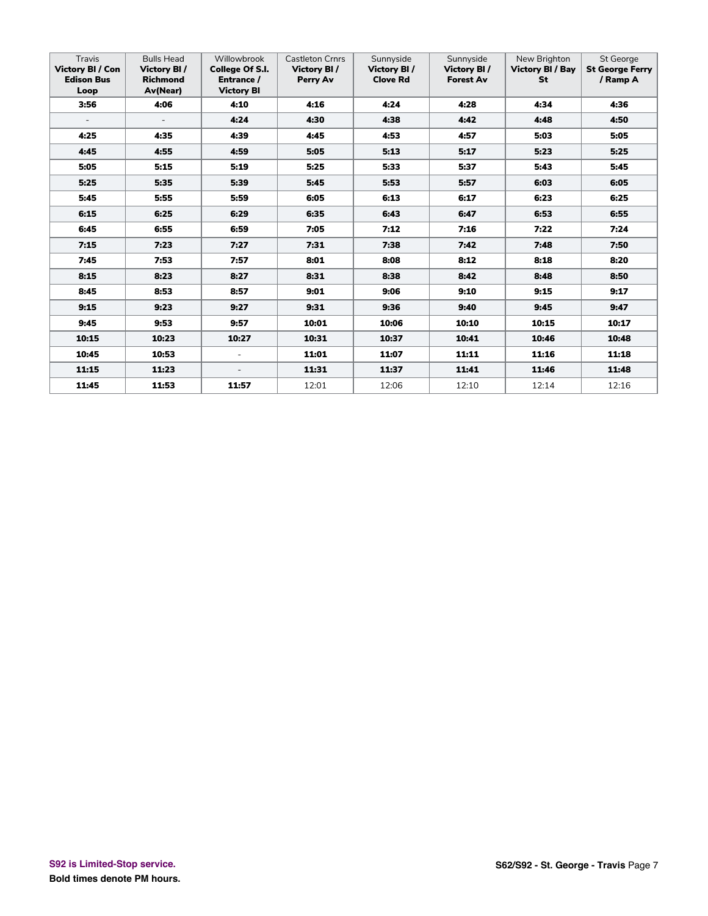| Travis<br><b>Victory BI / Con</b><br><b>Edison Bus</b><br>Loop | <b>Bulls Head</b><br>Victory BI/<br><b>Richmond</b><br>Av(Near) | Willowbrook<br>College Of S.I.<br>Entrance /<br><b>Victory BI</b> | <b>Castleton Crnrs</b><br>Victory BI/<br>Perry Av | Sunnyside<br><b>Victory BI/</b><br><b>Clove Rd</b> | Sunnyside<br>Victory BI/<br><b>Forest Av</b> | New Brighton<br><b>Victory BI / Bay</b><br><b>St</b> | St George<br><b>St George Ferry</b><br>/ Ramp A |
|----------------------------------------------------------------|-----------------------------------------------------------------|-------------------------------------------------------------------|---------------------------------------------------|----------------------------------------------------|----------------------------------------------|------------------------------------------------------|-------------------------------------------------|
| 3:56                                                           | 4:06                                                            | 4:10                                                              | 4:16                                              | 4:24                                               | 4:28                                         | 4:34                                                 | 4:36                                            |
| $\overline{\phantom{a}}$                                       | $\overline{\phantom{a}}$                                        | 4:24                                                              | 4:30                                              | 4:38                                               | 4:42                                         | 4:48                                                 | 4:50                                            |
| 4:25                                                           | 4:35                                                            | 4:39                                                              | 4:45                                              | 4:53                                               | 4:57                                         | 5:03                                                 | 5:05                                            |
| 4:45                                                           | 4:55                                                            | 4:59                                                              | 5:05                                              | 5:13                                               | 5:17                                         | 5:23                                                 | 5:25                                            |
| 5:05                                                           | 5:15                                                            | 5:19                                                              | 5:25                                              | 5:33                                               | 5:37                                         | 5:43                                                 | 5:45                                            |
| 5:25                                                           | 5:35                                                            | 5:39                                                              | 5:45                                              | 5:53                                               | 5:57                                         | 6:03                                                 | 6:05                                            |
| 5:45                                                           | 5:55                                                            | 5:59                                                              | 6:05                                              | 6:13                                               | 6:17                                         | 6:23                                                 | 6:25                                            |
| 6:15                                                           | 6:25                                                            | 6:29                                                              | 6:35                                              | 6:43                                               | 6:47                                         | 6:53                                                 | 6:55                                            |
| 6:45                                                           | 6:55                                                            | 6:59                                                              | 7:05                                              | 7:12                                               | 7:16                                         | 7:22                                                 | 7:24                                            |
| 7:15                                                           | 7:23                                                            | 7:27                                                              | 7:31                                              | 7:38                                               | 7:42                                         | 7:48                                                 | 7:50                                            |
| 7:45                                                           | 7:53                                                            | 7:57                                                              | 8:01                                              | 8:08                                               | 8:12                                         | 8:18                                                 | 8:20                                            |
| 8:15                                                           | 8:23                                                            | 8:27                                                              | 8:31                                              | 8:38                                               | 8:42                                         | 8:48                                                 | 8:50                                            |
| 8:45                                                           | 8:53                                                            | 8:57                                                              | 9:01                                              | 9:06                                               | 9:10                                         | 9:15                                                 | 9:17                                            |
| 9:15                                                           | 9:23                                                            | 9:27                                                              | 9:31                                              | 9:36                                               | 9:40                                         | 9:45                                                 | 9:47                                            |
| 9:45                                                           | 9:53                                                            | 9:57                                                              | 10:01                                             | 10:06                                              | 10:10                                        | 10:15                                                | 10:17                                           |
| 10:15                                                          | 10:23                                                           | 10:27                                                             | 10:31                                             | 10:37                                              | 10:41                                        | 10:46                                                | 10:48                                           |
| 10:45                                                          | 10:53                                                           | $\equiv$                                                          | 11:01                                             | 11:07                                              | 11:11                                        | 11:16                                                | 11:18                                           |
| 11:15                                                          | 11:23                                                           | $\overline{\phantom{a}}$                                          | 11:31                                             | 11:37                                              | 11:41                                        | 11:46                                                | 11:48                                           |
| 11:45                                                          | 11:53                                                           | 11:57                                                             | 12:01                                             | 12:06                                              | 12:10                                        | 12:14                                                | 12:16                                           |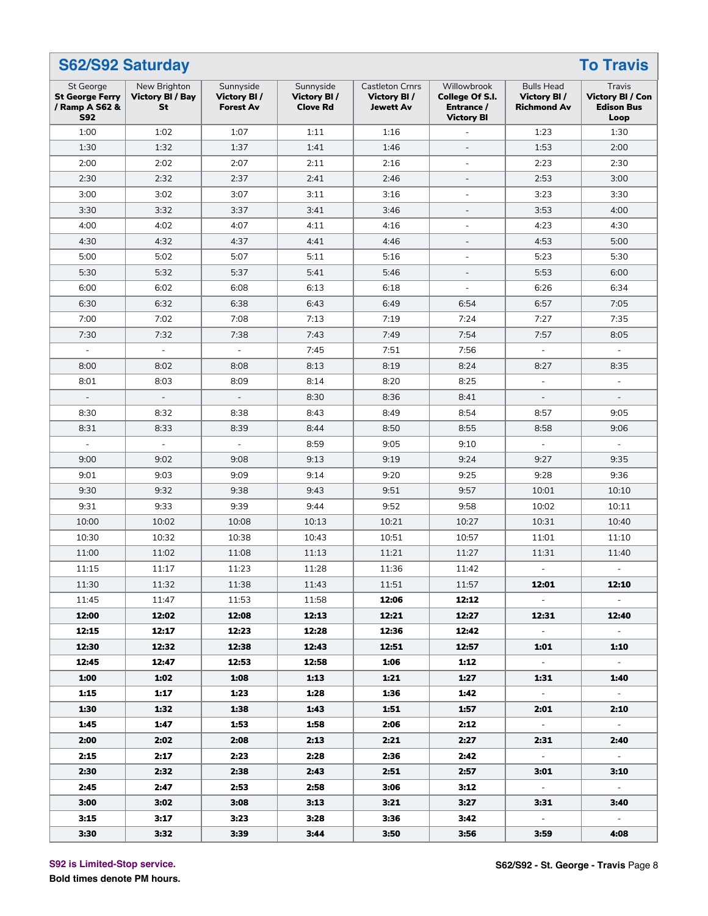|                                                                            | S62/S92 Saturday<br><b>To Travis</b>          |                                              |                                             |                                                           |                                                                   |                                                        |                                                                |  |  |  |  |  |
|----------------------------------------------------------------------------|-----------------------------------------------|----------------------------------------------|---------------------------------------------|-----------------------------------------------------------|-------------------------------------------------------------------|--------------------------------------------------------|----------------------------------------------------------------|--|--|--|--|--|
| <b>St George</b><br><b>St George Ferry</b><br>/ Ramp A S62 &<br><b>S92</b> | New Brighton<br><b>Victory BI / Bay</b><br>St | Sunnyside<br>Victory BI/<br><b>Forest Av</b> | Sunnyside<br>Victory BI/<br><b>Clove Rd</b> | <b>Castleton Crnrs</b><br>Victory BI/<br><b>Jewett Av</b> | Willowbrook<br>College Of S.I.<br>Entrance /<br><b>Victory BI</b> | <b>Bulls Head</b><br>Victory BI/<br><b>Richmond Av</b> | Travis<br><b>Victory BI / Con</b><br><b>Edison Bus</b><br>Loop |  |  |  |  |  |
| 1:00                                                                       | 1:02                                          | 1:07                                         | 1:11                                        | 1:16                                                      |                                                                   | 1:23                                                   | 1:30                                                           |  |  |  |  |  |
| 1:30                                                                       | 1:32                                          | 1:37                                         | 1:41                                        | 1:46                                                      | $\overline{a}$                                                    | 1:53                                                   | 2:00                                                           |  |  |  |  |  |
| 2:00                                                                       | 2:02                                          | 2:07                                         | 2:11                                        | 2:16                                                      | $\overline{a}$                                                    | 2:23                                                   | 2:30                                                           |  |  |  |  |  |
| 2:30                                                                       | 2:32                                          | 2:37                                         | 2:41                                        | 2:46                                                      | $\overline{\phantom{a}}$                                          | 2:53                                                   | 3:00                                                           |  |  |  |  |  |
| 3:00                                                                       | 3:02                                          | 3:07                                         | 3:11                                        | 3:16                                                      | $\bar{\phantom{a}}$                                               | 3:23                                                   | 3:30                                                           |  |  |  |  |  |
| 3:30                                                                       | 3:32                                          | 3:37                                         | 3:41                                        | 3:46                                                      | $\overline{\phantom{a}}$                                          | 3:53                                                   | 4:00                                                           |  |  |  |  |  |
| 4:00                                                                       | 4:02                                          | 4:07                                         | 4:11                                        | 4:16                                                      | $\overline{a}$                                                    | 4:23                                                   | 4:30                                                           |  |  |  |  |  |
| 4:30                                                                       | 4:32                                          | 4:37                                         | 4:41                                        | 4:46                                                      | $\overline{\phantom{a}}$                                          | 4:53                                                   | 5:00                                                           |  |  |  |  |  |
| 5:00                                                                       | 5:02                                          | 5:07                                         | 5:11                                        | 5:16                                                      | $\bar{\phantom{a}}$                                               | 5:23                                                   | 5:30                                                           |  |  |  |  |  |
| 5:30                                                                       | 5:32                                          | 5:37                                         | 5:41                                        | 5:46                                                      | $\blacksquare$                                                    | 5:53                                                   | 6:00                                                           |  |  |  |  |  |
| 6:00                                                                       | 6:02                                          | 6:08                                         | 6:13                                        | 6:18                                                      | $\bar{\phantom{a}}$                                               | 6:26                                                   | 6:34                                                           |  |  |  |  |  |
| 6:30                                                                       | 6:32                                          | 6:38                                         | 6:43                                        | 6:49                                                      | 6:54                                                              | 6:57                                                   | 7:05                                                           |  |  |  |  |  |
| 7:00                                                                       | 7:02                                          | 7:08                                         | 7:13                                        | 7:19                                                      | 7:24                                                              | 7:27                                                   | 7:35                                                           |  |  |  |  |  |
| 7:30                                                                       | 7:32                                          | 7:38                                         | 7:43                                        | 7:49                                                      | 7:54                                                              | 7:57                                                   | 8:05                                                           |  |  |  |  |  |
|                                                                            | $\omega$                                      | $\overline{\phantom{a}}$                     | 7:45                                        | 7:51                                                      | 7:56                                                              |                                                        |                                                                |  |  |  |  |  |
| 8:00                                                                       | 8:02                                          | 8:08                                         | 8:13                                        | 8:19                                                      | 8:24                                                              | 8:27                                                   | 8:35                                                           |  |  |  |  |  |
| 8:01                                                                       | 8:03                                          | 8:09                                         | 8:14                                        | 8:20                                                      | 8:25                                                              | $\equiv$                                               | $\frac{1}{2}$                                                  |  |  |  |  |  |
| $\overline{\phantom{a}}$                                                   | $\overline{\phantom{a}}$                      | $\blacksquare$                               | 8:30                                        | 8:36                                                      | 8:41                                                              | $\overline{\phantom{a}}$                               |                                                                |  |  |  |  |  |
| 8:30                                                                       | 8:32                                          | 8:38                                         | 8:43                                        | 8:49                                                      | 8:54                                                              | 8:57                                                   | 9:05                                                           |  |  |  |  |  |
| 8:31                                                                       | 8:33                                          | 8:39                                         | 8:44                                        | 8:50                                                      | 8:55                                                              | 8:58                                                   | 9:06                                                           |  |  |  |  |  |
| $\Box$                                                                     | $\equiv$                                      | $\Box$                                       | 8:59                                        | 9:05                                                      | 9:10                                                              | $\equiv$                                               | $\overline{\phantom{a}}$                                       |  |  |  |  |  |
| 9:00                                                                       | 9:02                                          | 9:08                                         | 9:13                                        | 9:19                                                      | 9:24                                                              | 9:27                                                   | 9:35                                                           |  |  |  |  |  |
| 9:01                                                                       | 9:03                                          | 9:09                                         | 9:14                                        | 9:20                                                      | 9:25                                                              | 9:28                                                   | 9:36                                                           |  |  |  |  |  |
| 9:30                                                                       | 9:32                                          | 9:38                                         | 9:43                                        | 9:51                                                      | 9:57                                                              | 10:01                                                  | 10:10                                                          |  |  |  |  |  |
| 9:31                                                                       | 9:33                                          | 9:39                                         | 9:44                                        | 9:52                                                      | 9:58                                                              | 10:02                                                  | 10:11                                                          |  |  |  |  |  |
| 10:00                                                                      | 10:02                                         | 10:08                                        | 10:13                                       | 10:21                                                     | 10:27                                                             | 10:31                                                  | 10:40                                                          |  |  |  |  |  |
| 10:30                                                                      | 10:32                                         | 10:38                                        | 10:43                                       | 10:51                                                     | 10:57                                                             | 11:01                                                  | 11:10                                                          |  |  |  |  |  |
| 11:00                                                                      | 11:02                                         | 11:08                                        | 11:13                                       | 11:21                                                     | 11:27                                                             | 11:31                                                  | 11:40                                                          |  |  |  |  |  |
| 11:15                                                                      | 11:17                                         | 11:23                                        | 11:28                                       | 11:36                                                     | 11:42                                                             |                                                        |                                                                |  |  |  |  |  |
| 11:30                                                                      | 11:32                                         | 11:38                                        | 11:43                                       | 11:51                                                     | 11:57                                                             | 12:01                                                  | 12:10                                                          |  |  |  |  |  |
| 11:45                                                                      | 11:47                                         | 11:53                                        | 11:58                                       | 12:06                                                     | 12:12                                                             | $\sim 10^{-11}$                                        | $\sim$ $-$                                                     |  |  |  |  |  |
| 12:00                                                                      | 12:02                                         | 12:08                                        | 12:13                                       | 12:21                                                     | 12:27                                                             | 12:31                                                  | 12:40                                                          |  |  |  |  |  |
| 12:15                                                                      | 12:17                                         | 12:23                                        | 12:28                                       | 12:36                                                     | 12:42                                                             | $\sim$                                                 | $\sim$                                                         |  |  |  |  |  |
| 12:30                                                                      | 12:32                                         | 12:38                                        | 12:43                                       | 12:51                                                     | 12:57                                                             | 1:01                                                   | 1:10                                                           |  |  |  |  |  |
| 12:45                                                                      | 12:47                                         | 12:53                                        | 12:58                                       | 1:06                                                      | 1:12                                                              | $\sim$                                                 |                                                                |  |  |  |  |  |
| 1:00                                                                       | 1:02                                          | 1:08                                         | 1:13                                        | 1:21                                                      | 1:27                                                              | 1:31                                                   | 1:40                                                           |  |  |  |  |  |
| 1:15                                                                       | 1:17                                          | 1:23                                         | 1:28                                        | 1:36                                                      | 1:42                                                              | $\sim$                                                 | $\sim$                                                         |  |  |  |  |  |
| 1:30                                                                       | 1:32                                          | 1:38                                         | 1:43                                        | 1:51                                                      | 1:57                                                              | 2:01                                                   | 2:10                                                           |  |  |  |  |  |
| 1:45                                                                       | 1:47                                          | 1:53                                         | 1:58                                        | 2:06                                                      | 2:12                                                              | $\sim$                                                 | $\sim$                                                         |  |  |  |  |  |
| 2:00                                                                       | 2:02                                          | 2:08                                         | 2:13                                        | 2:21                                                      | 2:27                                                              | 2:31                                                   | 2:40                                                           |  |  |  |  |  |
| 2:15                                                                       | 2:17                                          | 2:23                                         | 2:28                                        | 2:36                                                      | 2:42                                                              | $\sim$                                                 | $\sim$                                                         |  |  |  |  |  |
| 2:30                                                                       | 2:32                                          | 2:38                                         | 2:43                                        | 2:51                                                      | 2:57                                                              | 3:01                                                   | 3:10                                                           |  |  |  |  |  |
| 2:45                                                                       | 2:47                                          | 2:53                                         | 2:58                                        | 3:06                                                      | 3:12                                                              | $\sim$                                                 | $\sim$                                                         |  |  |  |  |  |
| 3:00                                                                       | 3:02                                          | 3:08                                         | 3:13                                        | 3:21                                                      | 3:27                                                              | 3:31                                                   | 3:40                                                           |  |  |  |  |  |
| 3:15                                                                       | 3:17                                          | 3:23                                         | 3:28                                        | 3:36                                                      | 3:42                                                              | $\sim$                                                 | $\sim$                                                         |  |  |  |  |  |
| 3:30                                                                       | 3:32                                          | 3:39                                         | 3:44                                        | 3:50                                                      | 3:56                                                              | 3:59                                                   | 4:08                                                           |  |  |  |  |  |

**S92 is Limited-Stop service.**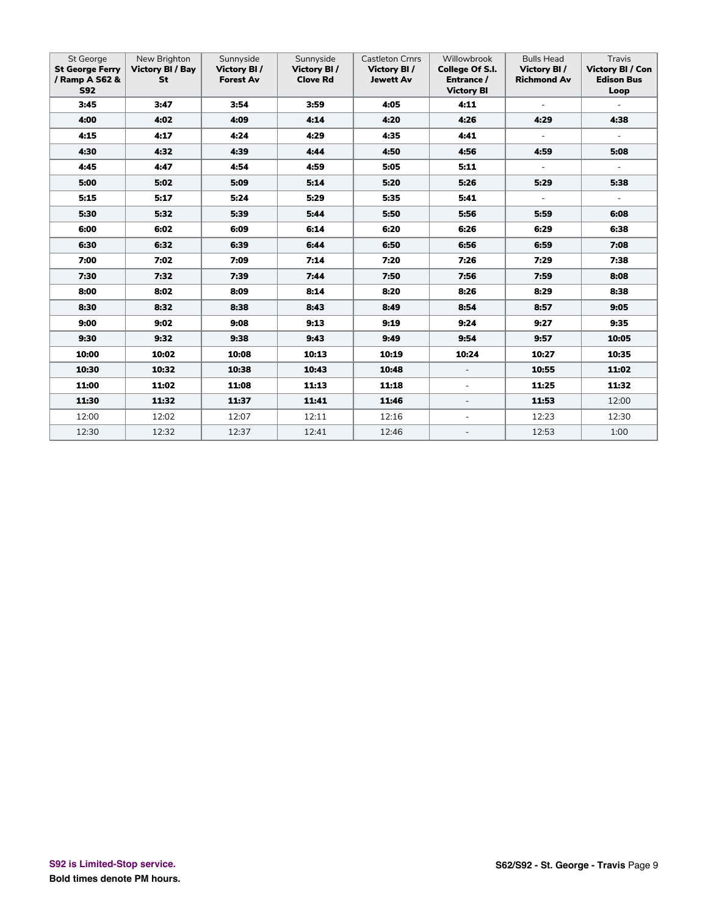| St George<br><b>St George Ferry</b><br>/ Ramp A S62 &<br><b>S92</b> | New Brighton<br><b>Victory BI / Bay</b><br>St | Sunnyside<br>Victory BI/<br><b>Forest Av</b> | Sunnyside<br>Victory BI/<br><b>Clove Rd</b> | <b>Castleton Crnrs</b><br>Victory BI/<br><b>Jewett Av</b> | Willowbrook<br><b>College Of S.I.</b><br>Entrance /<br><b>Victory BI</b> | <b>Bulls Head</b><br>Victory BI/<br><b>Richmond Av</b> | Travis<br><b>Victory BI / Con</b><br><b>Edison Bus</b><br>Loop |
|---------------------------------------------------------------------|-----------------------------------------------|----------------------------------------------|---------------------------------------------|-----------------------------------------------------------|--------------------------------------------------------------------------|--------------------------------------------------------|----------------------------------------------------------------|
| 3:45                                                                | 3:47                                          | 3:54                                         | 3:59                                        | 4:05                                                      | 4:11                                                                     | $\overline{\phantom{a}}$                               | $\sim$                                                         |
| 4:00                                                                | 4:02                                          | 4:09                                         | 4:14                                        | 4:20                                                      | 4:26                                                                     | 4:29                                                   | 4:38                                                           |
| 4:15                                                                | 4:17                                          | 4:24                                         | 4:29                                        | 4:35                                                      | 4:41                                                                     | $\blacksquare$                                         | $\equiv$                                                       |
| 4:30                                                                | 4:32                                          | 4:39                                         | 4:44                                        | 4:50                                                      | 4:56                                                                     | 4:59                                                   | 5:08                                                           |
| 4:45                                                                | 4:47                                          | 4:54                                         | 4:59                                        | 5:05                                                      | 5:11                                                                     | $\overline{\phantom{a}}$                               | $\sim$                                                         |
| 5:00                                                                | 5:02                                          | 5:09                                         | 5:14                                        | 5:20                                                      | 5:26                                                                     | 5:29                                                   | 5:38                                                           |
| 5:15                                                                | 5:17                                          | 5:24                                         | 5:29                                        | 5:35                                                      | 5:41                                                                     | $\overline{\phantom{a}}$                               | $\sim$                                                         |
| 5:30                                                                | 5:32                                          | 5:39                                         | 5:44                                        | 5:50                                                      | 5:56                                                                     | 5:59                                                   | 6:08                                                           |
| 6:00                                                                | 6:02                                          | 6:09                                         | 6:14                                        | 6:20                                                      | 6:26                                                                     | 6:29                                                   | 6:38                                                           |
| 6:30                                                                | 6:32                                          | 6:39                                         | 6:44                                        | 6:50                                                      | 6:56                                                                     | 6:59                                                   | 7:08                                                           |
| 7:00                                                                | 7:02                                          | 7:09                                         | 7:14                                        | 7:20                                                      | 7:26                                                                     | 7:29                                                   | 7:38                                                           |
| 7:30                                                                | 7:32                                          | 7:39                                         | 7:44                                        | 7:50                                                      | 7:56                                                                     | 7:59                                                   | 8:08                                                           |
| 8:00                                                                | 8:02                                          | 8:09                                         | 8:14                                        | 8:20                                                      | 8:26                                                                     | 8:29                                                   | 8:38                                                           |
| 8:30                                                                | 8:32                                          | 8:38                                         | 8:43                                        | 8:49                                                      | 8:54                                                                     | 8:57                                                   | 9:05                                                           |
| 9:00                                                                | 9:02                                          | 9:08                                         | 9:13                                        | 9:19                                                      | 9:24                                                                     | 9:27                                                   | 9:35                                                           |
| 9:30                                                                | 9:32                                          | 9:38                                         | 9:43                                        | 9:49                                                      | 9:54                                                                     | 9:57                                                   | 10:05                                                          |
| 10:00                                                               | 10:02                                         | 10:08                                        | 10:13                                       | 10:19                                                     | 10:24                                                                    | 10:27                                                  | 10:35                                                          |
| 10:30                                                               | 10:32                                         | 10:38                                        | 10:43                                       | 10:48                                                     | $\overline{\phantom{a}}$                                                 | 10:55                                                  | 11:02                                                          |
| 11:00                                                               | 11:02                                         | 11:08                                        | 11:13                                       | 11:18                                                     | $\blacksquare$                                                           | 11:25                                                  | 11:32                                                          |
| 11:30                                                               | 11:32                                         | 11:37                                        | 11:41                                       | 11:46                                                     | $\overline{\phantom{a}}$                                                 | 11:53                                                  | 12:00                                                          |
| 12:00                                                               | 12:02                                         | 12:07                                        | 12:11                                       | 12:16                                                     | $\blacksquare$                                                           | 12:23                                                  | 12:30                                                          |
| 12:30                                                               | 12:32                                         | 12:37                                        | 12:41                                       | 12:46                                                     | $\blacksquare$                                                           | 12:53                                                  | 1:00                                                           |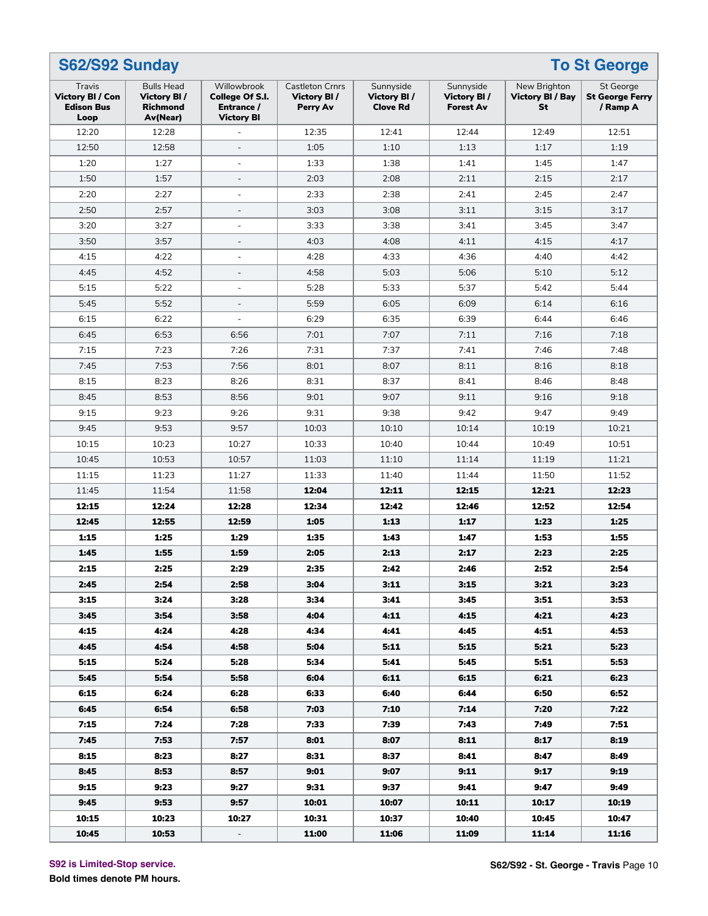|                                                         | S62/S92 Sunday<br><b>To St George</b>                           |                                                                   |                                                   |                                             |                                                     |                                               |                                                        |  |  |  |  |
|---------------------------------------------------------|-----------------------------------------------------------------|-------------------------------------------------------------------|---------------------------------------------------|---------------------------------------------|-----------------------------------------------------|-----------------------------------------------|--------------------------------------------------------|--|--|--|--|
| Travis<br>Victory BI / Con<br><b>Edison Bus</b><br>Loop | <b>Bulls Head</b><br>Victory BI/<br><b>Richmond</b><br>Av(Near) | Willowbrook<br>College Of S.I.<br>Entrance /<br><b>Victory BI</b> | <b>Castleton Crnrs</b><br>Victory BI/<br>Perry Av | Sunnyside<br>Victory BI/<br><b>Clove Rd</b> | Sunnyside<br><b>Victory BI/</b><br><b>Forest Av</b> | New Brighton<br><b>Victory BI / Bay</b><br>St | <b>St George</b><br><b>St George Ferry</b><br>/ Ramp A |  |  |  |  |
| 12:20                                                   | 12:28                                                           |                                                                   | 12:35                                             | 12:41                                       | 12:44                                               | 12:49                                         | 12:51                                                  |  |  |  |  |
| 12:50                                                   | 12:58                                                           |                                                                   | 1:05                                              | 1:10                                        | 1:13                                                | 1:17                                          | 1:19                                                   |  |  |  |  |
| 1:20                                                    | 1:27                                                            | $\overline{a}$                                                    | 1:33                                              | 1:38                                        | 1:41                                                | 1:45                                          | 1:47                                                   |  |  |  |  |
| 1:50                                                    | 1:57                                                            | $\overline{\phantom{0}}$                                          | 2:03                                              | 2:08                                        | 2:11                                                | 2:15                                          | 2:17                                                   |  |  |  |  |
| 2:20                                                    | 2:27                                                            | $\overline{\phantom{a}}$                                          | 2:33                                              | 2:38                                        | 2:41                                                | 2:45                                          | 2:47                                                   |  |  |  |  |
| 2:50                                                    | 2:57                                                            |                                                                   | 3:03                                              | 3:08                                        | 3:11                                                | 3:15                                          | 3:17                                                   |  |  |  |  |
| 3:20                                                    | 3:27                                                            |                                                                   | 3:33                                              | 3:38                                        | 3:41                                                | 3:45                                          | 3:47                                                   |  |  |  |  |
| 3:50                                                    | 3:57                                                            | $\overline{\phantom{0}}$                                          | 4:03                                              | 4:08                                        | 4:11                                                | 4:15                                          | 4:17                                                   |  |  |  |  |
| 4:15                                                    | 4:22                                                            | L,                                                                | 4:28                                              | 4:33                                        | 4:36                                                | 4:40                                          | 4:42                                                   |  |  |  |  |
| 4:45                                                    | 4:52                                                            | $\overline{a}$                                                    | 4:58                                              | 5:03                                        | 5:06                                                | 5:10                                          | 5:12                                                   |  |  |  |  |
| 5:15                                                    | 5:22                                                            | $\overline{a}$                                                    | 5:28                                              | 5:33                                        | 5:37                                                | 5:42                                          | 5:44                                                   |  |  |  |  |
| 5:45                                                    | 5:52                                                            | $\overline{\phantom{0}}$                                          | 5:59                                              | 6:05                                        | 6:09                                                | 6:14                                          | 6:16                                                   |  |  |  |  |
| 6:15                                                    | 6:22                                                            | ÷,                                                                | 6:29                                              | 6:35                                        | 6:39                                                | 6:44                                          | 6:46                                                   |  |  |  |  |
| 6:45                                                    | 6:53                                                            | 6:56                                                              | 7:01                                              | 7:07                                        | 7:11                                                | 7:16                                          | 7:18                                                   |  |  |  |  |
| 7:15                                                    | 7:23                                                            | 7:26                                                              | 7:31                                              | 7:37                                        | 7:41                                                | 7:46                                          | 7:48                                                   |  |  |  |  |
| 7:45                                                    | 7:53                                                            | 7:56                                                              | 8:01                                              | 8:07                                        | 8:11                                                | 8:16                                          | 8:18                                                   |  |  |  |  |
| 8:15                                                    | 8:23                                                            | 8:26                                                              | 8:31                                              | 8:37                                        | 8:41                                                | 8:46                                          | 8:48                                                   |  |  |  |  |
| 8:45                                                    | 8:53                                                            | 8:56                                                              | 9:01                                              | 9:07                                        | 9:11                                                | 9:16                                          | 9:18                                                   |  |  |  |  |
| 9:15                                                    | 9:23                                                            | 9:26                                                              | 9:31                                              | 9:38                                        | 9:42                                                | 9:47                                          | 9:49                                                   |  |  |  |  |
| 9:45                                                    | 9:53                                                            | 9:57                                                              | 10:03                                             | 10:10                                       | 10:14                                               | 10:19                                         | 10:21                                                  |  |  |  |  |
| 10:15                                                   | 10:23                                                           | 10:27                                                             | 10:33                                             | 10:40                                       | 10:44                                               | 10:49                                         | 10:51                                                  |  |  |  |  |
| 10:45                                                   | 10:53                                                           | 10:57                                                             | 11:03                                             | 11:10                                       | 11:14                                               | 11:19                                         | 11:21                                                  |  |  |  |  |
| 11:15                                                   | 11:23                                                           | 11:27                                                             | 11:33                                             | 11:40                                       | 11:44                                               | 11:50                                         | 11:52                                                  |  |  |  |  |
| 11:45                                                   | 11:54                                                           | 11:58                                                             | 12:04                                             | 12:11                                       | 12:15                                               | 12:21                                         | 12:23                                                  |  |  |  |  |
| 12:15                                                   | 12:24                                                           | 12:28                                                             | 12:34                                             | 12:42                                       | 12:46                                               | 12:52                                         | 12:54                                                  |  |  |  |  |
| 12:45                                                   | 12:55                                                           | 12:59                                                             | 1:05                                              | 1:13                                        | 1:17                                                | 1:23                                          | 1:25                                                   |  |  |  |  |
| 1:15                                                    | 1:25                                                            | 1:29                                                              | 1:35                                              | 1:43                                        | 1:47                                                | 1:53                                          | 1:55                                                   |  |  |  |  |
| 1:45                                                    | 1:55                                                            | 1:59                                                              | 2:05                                              | 2:13                                        | 2:17                                                | 2:23                                          | 2:25                                                   |  |  |  |  |
| 2:15                                                    | 2:25                                                            | 2:29                                                              | 2:35                                              | 2:42                                        | 2:46                                                | 2:52                                          | 2:54                                                   |  |  |  |  |
|                                                         |                                                                 |                                                                   |                                                   |                                             |                                                     |                                               |                                                        |  |  |  |  |
| 2:45                                                    | 2:54                                                            | 2:58                                                              | 3:04                                              | 3:11                                        | 3:15                                                | 3:21                                          | 3:23                                                   |  |  |  |  |
| 3:15                                                    | 3:24                                                            | 3:28                                                              | 3:34                                              | 3:41                                        | 3:45                                                | 3:51                                          | 3:53                                                   |  |  |  |  |
| 3:45                                                    | 3:54                                                            | 3:58<br>4:28                                                      | 4:04                                              | 4:11                                        | 4:15                                                | 4:21                                          | 4:23                                                   |  |  |  |  |
| 4:15                                                    | 4:24                                                            |                                                                   | 4:34                                              | 4:41                                        | 4:45                                                | 4:51                                          | 4:53                                                   |  |  |  |  |
| 4:45                                                    | 4:54                                                            | 4:58                                                              | 5:04                                              | 5:11                                        | 5:15                                                | 5:21                                          | 5:23                                                   |  |  |  |  |
| 5:15                                                    | 5:24                                                            | 5:28                                                              | 5:34                                              | 5:41                                        | 5:45                                                | 5:51                                          | 5:53                                                   |  |  |  |  |
| 5:45                                                    | 5:54                                                            | 5:58                                                              | 6:04                                              | 6:11                                        | 6:15                                                | 6:21                                          | 6:23                                                   |  |  |  |  |
| 6:15                                                    | 6:24                                                            | 6:28                                                              | 6:33                                              | 6:40                                        | 6:44                                                | 6:50                                          | 6:52                                                   |  |  |  |  |
| 6:45                                                    | 6:54                                                            | 6:58                                                              | 7:03                                              | 7:10                                        | 7:14                                                | 7:20                                          | 7:22                                                   |  |  |  |  |
| 7:15                                                    | 7:24                                                            | 7:28                                                              | 7:33                                              | 7:39                                        | 7:43                                                | 7:49                                          | 7:51                                                   |  |  |  |  |
| 7:45                                                    | 7:53                                                            | 7:57                                                              | 8:01                                              | 8:07                                        | 8:11                                                | 8:17                                          | 8:19                                                   |  |  |  |  |
| 8:15                                                    | 8:23                                                            | 8:27                                                              | 8:31                                              | 8:37                                        | 8:41                                                | 8:47                                          | 8:49                                                   |  |  |  |  |
| 8:45                                                    | 8:53                                                            | 8:57                                                              | 9:01                                              | 9:07                                        | 9:11                                                | 9:17                                          | 9:19                                                   |  |  |  |  |
| 9:15                                                    | 9:23                                                            | 9:27                                                              | 9:31                                              | 9:37                                        | 9:41                                                | 9:47                                          | 9:49                                                   |  |  |  |  |
| 9:45                                                    | 9:53                                                            | 9:57                                                              | 10:01                                             | 10:07                                       | 10:11                                               | 10:17                                         | 10:19                                                  |  |  |  |  |
| 10:15                                                   | 10:23                                                           | 10:27                                                             | 10:31                                             | 10:37                                       | 10:40                                               | 10:45                                         | 10:47                                                  |  |  |  |  |
| 10:45                                                   | 10:53                                                           |                                                                   | 11:00                                             | 11:06                                       | 11:09                                               | 11:14                                         | 11:16                                                  |  |  |  |  |

**S92 is Limited-Stop service.**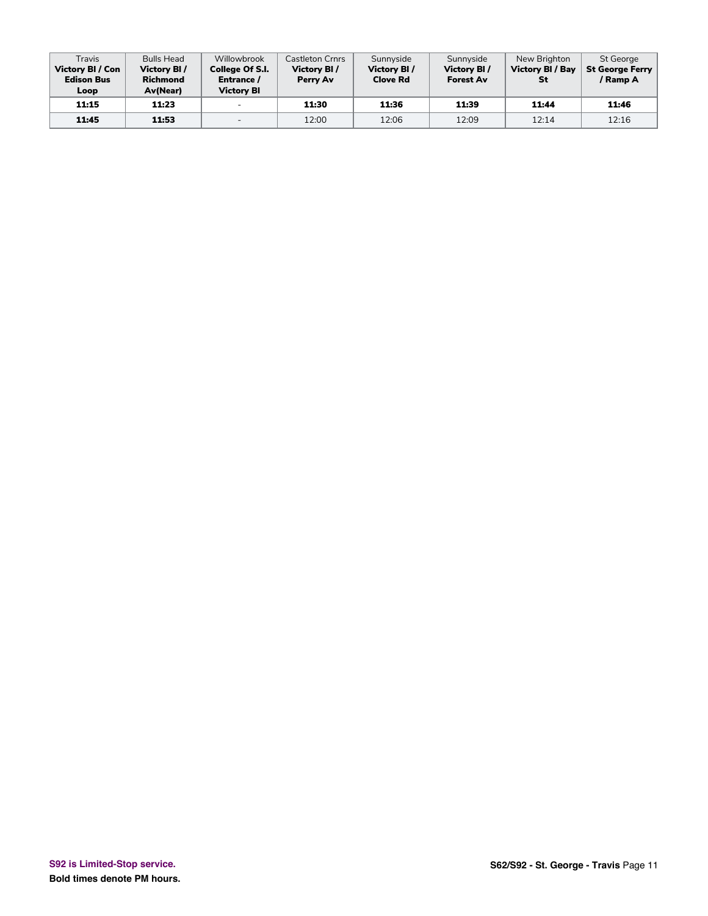| Travis<br><b>Victory BI / Con</b><br><b>Edison Bus</b><br>Loop | <b>Bulls Head</b><br>Victory BI/<br><b>Richmond</b><br><b>Av</b> (Near) | Willowbrook<br>College Of S.I.<br>Entrance /<br><b>Victory BI</b> | Castleton Crnrs<br>Victory BI/<br>Perry Av | Sunnyside<br><b>Victory BI/</b><br><b>Clove Rd</b> | Sunnyside<br>Victory BI/<br><b>Forest Av</b> | New Brighton<br><b>Victory BI / Bay</b><br>St | <b>St George</b><br>St George Ferry<br>/ Ramp A |
|----------------------------------------------------------------|-------------------------------------------------------------------------|-------------------------------------------------------------------|--------------------------------------------|----------------------------------------------------|----------------------------------------------|-----------------------------------------------|-------------------------------------------------|
| 11:15                                                          | 11:23                                                                   | $\overline{\phantom{0}}$                                          | 11:30                                      | 11:36                                              | 11:39                                        | 11:44                                         | 11:46                                           |
| 11:45                                                          | 11:53                                                                   | $\overline{\phantom{0}}$                                          | 12:00                                      | 12:06                                              | 12:09                                        | 12:14                                         | 12:16                                           |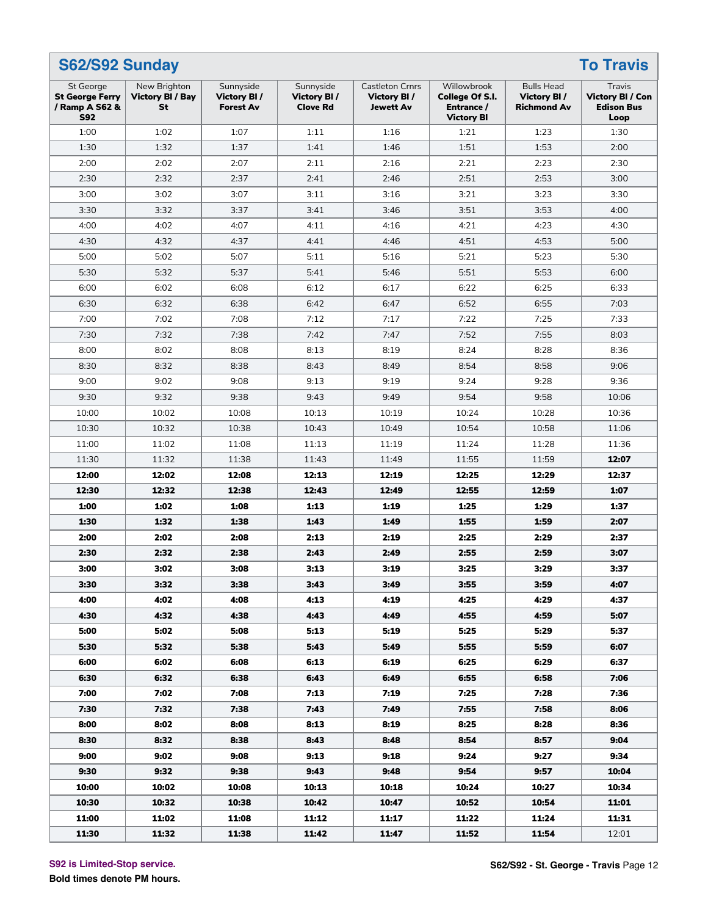|                                                                     | S62/S92 Sunday<br><b>To Travis</b>            |                                              |                                             |                                                           |                                                                   |                                                        |                                                         |  |  |  |  |  |
|---------------------------------------------------------------------|-----------------------------------------------|----------------------------------------------|---------------------------------------------|-----------------------------------------------------------|-------------------------------------------------------------------|--------------------------------------------------------|---------------------------------------------------------|--|--|--|--|--|
| St George<br><b>St George Ferry</b><br>/ Ramp A S62 &<br><b>S92</b> | New Brighton<br><b>Victory BI / Bay</b><br>St | Sunnyside<br>Victory BI/<br><b>Forest Av</b> | Sunnyside<br>Victory BI/<br><b>Clove Rd</b> | <b>Castleton Crnrs</b><br>Victory BI/<br><b>Jewett Av</b> | Willowbrook<br>College Of S.I.<br>Entrance /<br><b>Victory BI</b> | <b>Bulls Head</b><br>Victory BI/<br><b>Richmond Av</b> | Travis<br>Victory BI / Con<br><b>Edison Bus</b><br>Loop |  |  |  |  |  |
| 1:00                                                                | 1:02                                          | 1:07                                         | 1:11                                        | 1:16                                                      | 1:21                                                              | 1:23                                                   | 1:30                                                    |  |  |  |  |  |
| 1:30                                                                | 1:32                                          | 1:37                                         | 1:41                                        | 1:46                                                      | 1:51                                                              | 1:53                                                   | 2:00                                                    |  |  |  |  |  |
| 2:00                                                                | 2:02                                          | 2:07                                         | 2:11                                        | 2:16                                                      | 2:21                                                              | 2:23                                                   | 2:30                                                    |  |  |  |  |  |
| 2:30                                                                | 2:32                                          | 2:37                                         | 2:41                                        | 2:46                                                      | 2:51                                                              | 2:53                                                   | 3:00                                                    |  |  |  |  |  |
| 3:00                                                                | 3:02                                          | 3:07                                         | 3:11                                        | 3:16                                                      | 3:21                                                              | 3:23                                                   | 3:30                                                    |  |  |  |  |  |
| 3:30                                                                | 3:32                                          | 3:37                                         | 3:41                                        | 3:46                                                      | 3:51                                                              | 3:53                                                   | 4:00                                                    |  |  |  |  |  |
| 4:00                                                                | 4:02                                          | 4:07                                         | 4:11                                        | 4:16                                                      | 4:21                                                              | 4:23                                                   | 4:30                                                    |  |  |  |  |  |
| 4:30                                                                | 4:32                                          | 4:37                                         | 4:41                                        | 4:46                                                      | 4:51                                                              | 4:53                                                   | 5:00                                                    |  |  |  |  |  |
| 5:00                                                                | 5:02                                          | 5:07                                         | 5:11                                        | 5:16                                                      | 5:21                                                              | 5:23                                                   | 5:30                                                    |  |  |  |  |  |
| 5:30                                                                | 5:32                                          | 5:37                                         | 5:41                                        | 5:46                                                      | 5:51                                                              | 5:53                                                   | 6:00                                                    |  |  |  |  |  |
| 6:00                                                                | 6:02                                          | 6:08                                         | 6:12                                        | 6:17                                                      | 6:22                                                              | 6:25                                                   | 6:33                                                    |  |  |  |  |  |
| 6:30                                                                | 6:32                                          | 6:38                                         | 6:42                                        | 6:47                                                      | 6:52                                                              | 6:55                                                   | 7:03                                                    |  |  |  |  |  |
| 7:00                                                                | 7:02                                          | 7:08                                         | 7:12                                        | 7:17                                                      | 7:22                                                              | 7:25                                                   | 7:33                                                    |  |  |  |  |  |
| 7:30                                                                | 7:32                                          | 7:38                                         | 7:42                                        | 7:47                                                      | 7:52                                                              | 7:55                                                   | 8:03                                                    |  |  |  |  |  |
| 8:00                                                                | 8:02                                          | 8:08                                         | 8:13                                        | 8:19                                                      | 8:24                                                              | 8:28                                                   | 8:36                                                    |  |  |  |  |  |
| 8:30                                                                | 8:32                                          | 8:38                                         | 8:43                                        | 8:49                                                      | 8:54                                                              | 8:58                                                   | 9:06                                                    |  |  |  |  |  |
| 9:00                                                                | 9:02                                          | 9:08                                         | 9:13                                        | 9:19                                                      | 9:24                                                              | 9:28                                                   | 9:36                                                    |  |  |  |  |  |
| 9:30                                                                | 9:32                                          | 9:38                                         | 9:43                                        | 9:49                                                      | 9:54                                                              | 9:58                                                   | 10:06                                                   |  |  |  |  |  |
| 10:00                                                               | 10:02                                         | 10:08                                        | 10:13                                       | 10:19                                                     | 10:24                                                             | 10:28                                                  | 10:36                                                   |  |  |  |  |  |
| 10:30                                                               | 10:32                                         | 10:38                                        | 10:43                                       | 10:49                                                     | 10:54                                                             | 10:58                                                  | 11:06                                                   |  |  |  |  |  |
| 11:00                                                               | 11:02                                         | 11:08                                        | 11:13                                       | 11:19                                                     | 11:24                                                             | 11:28                                                  | 11:36                                                   |  |  |  |  |  |
| 11:30                                                               | 11:32                                         | 11:38                                        | 11:43                                       | 11:49                                                     | 11:55                                                             | 11:59                                                  | 12:07                                                   |  |  |  |  |  |
| 12:00                                                               | 12:02                                         | 12:08                                        | 12:13                                       | 12:19                                                     | 12:25                                                             | 12:29                                                  | 12:37                                                   |  |  |  |  |  |
| 12:30                                                               | 12:32                                         | 12:38                                        | 12:43                                       | 12:49                                                     | 12:55                                                             | 12:59                                                  | 1:07                                                    |  |  |  |  |  |
| 1:00                                                                | 1:02                                          | 1:08                                         | 1:13                                        | 1:19                                                      | 1:25                                                              | 1:29                                                   | 1:37                                                    |  |  |  |  |  |
| 1:30                                                                | 1:32                                          | 1:38                                         | 1:43                                        | 1:49                                                      | 1:55                                                              | 1:59                                                   | 2:07                                                    |  |  |  |  |  |
| 2:00                                                                | 2:02                                          | 2:08                                         | 2:13                                        | 2:19                                                      | 2:25                                                              | 2:29                                                   | 2:37                                                    |  |  |  |  |  |
| 2:30                                                                | 2:32                                          | 2:38                                         | 2:43                                        | 2:49                                                      | 2:55                                                              | 2:59                                                   | 3:07                                                    |  |  |  |  |  |
| 3:00                                                                | 3:02                                          | 3:08                                         | 3:13                                        | 3:19                                                      | 3:25                                                              | 3:29                                                   | 3:37                                                    |  |  |  |  |  |
| 3:30                                                                | 3:32                                          | 3:38                                         | 3:43                                        | 3:49                                                      | 3:55                                                              | 3:59                                                   | 4:07                                                    |  |  |  |  |  |
| 4:00                                                                | 4:02                                          | 4:08                                         | 4:13                                        | 4:19                                                      | 4:25                                                              | 4:29                                                   | 4:37                                                    |  |  |  |  |  |
| 4:30                                                                | 4:32                                          | 4:38                                         | 4:43                                        | 4:49                                                      | 4:55                                                              | 4:59                                                   | 5:07                                                    |  |  |  |  |  |
| 5:00                                                                | 5:02                                          | 5:08                                         | 5:13                                        | 5:19                                                      | 5:25                                                              | 5:29                                                   | 5:37                                                    |  |  |  |  |  |
| 5:30                                                                | 5:32                                          | 5:38                                         | 5:43                                        | 5:49                                                      | 5:55                                                              | 5:59                                                   | 6:07                                                    |  |  |  |  |  |
| 6:00                                                                | 6:02                                          | 6:08                                         | 6:13                                        | 6:19                                                      | 6:25                                                              | 6:29                                                   | 6:37                                                    |  |  |  |  |  |
| 6:30                                                                | 6:32                                          | 6:38                                         | 6:43                                        | 6:49                                                      | 6:55                                                              | 6:58                                                   | 7:06                                                    |  |  |  |  |  |
| 7:00                                                                | 7:02                                          | 7:08                                         | 7:13                                        | 7:19                                                      | 7:25                                                              | 7:28                                                   | 7:36                                                    |  |  |  |  |  |
| 7:30                                                                | 7:32                                          | 7:38                                         | 7:43                                        | 7:49                                                      | 7:55                                                              | 7:58                                                   | 8:06                                                    |  |  |  |  |  |
| 8:00                                                                | 8:02                                          | 8:08                                         | 8:13                                        | 8:19                                                      | 8:25                                                              | 8:28                                                   | 8:36                                                    |  |  |  |  |  |
| 8:30                                                                | 8:32                                          | 8:38                                         | 8:43                                        | 8:48                                                      | 8:54                                                              | 8:57                                                   | 9:04                                                    |  |  |  |  |  |
| 9:00                                                                | 9:02                                          | 9:08                                         | 9:13                                        | 9:18                                                      | 9:24                                                              | 9:27                                                   | 9:34                                                    |  |  |  |  |  |
| 9:30                                                                | 9:32                                          | 9:38                                         | 9:43                                        | 9:48                                                      | 9:54                                                              | 9:57                                                   | 10:04                                                   |  |  |  |  |  |
| 10:00                                                               | 10:02                                         | 10:08                                        | 10:13                                       | 10:18                                                     | 10:24                                                             | 10:27                                                  | 10:34                                                   |  |  |  |  |  |
| 10:30                                                               | 10:32                                         | 10:38                                        | 10:42                                       | 10:47                                                     | 10:52                                                             | 10:54                                                  | 11:01                                                   |  |  |  |  |  |
| 11:00                                                               | 11:02                                         | 11:08                                        | 11:12                                       | 11:17                                                     | 11:22                                                             | 11:24                                                  | 11:31                                                   |  |  |  |  |  |
| 11:30                                                               | 11:32                                         | 11:38                                        | 11:42                                       | 11:47                                                     | 11:52                                                             | 11:54                                                  | 12:01                                                   |  |  |  |  |  |

**S92 is Limited-Stop service.**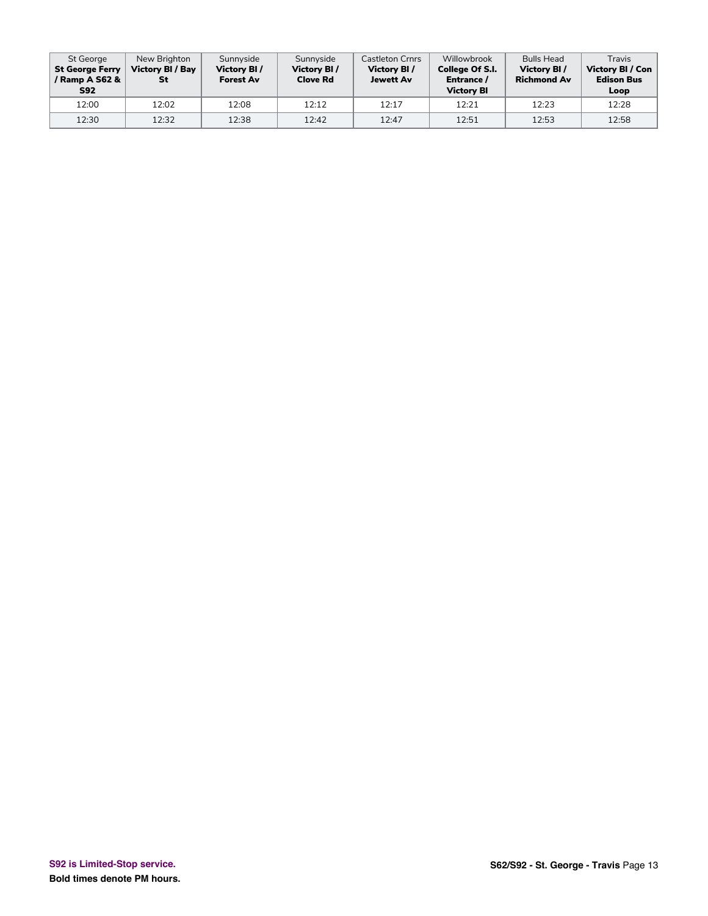| St George<br><b>St George Ferry</b><br>/ Ramp A S62 &<br><b>S92</b> | New Brighton<br><b>Victory BI / Bay</b><br>St | Sunnyside<br>Victory BI/<br><b>Forest Av</b> | Sunnyside<br>Victory BI/<br><b>Clove Rd</b> | <b>Castleton Crnrs</b><br><b>Victory BI/</b><br><b>Jewett Av</b> | Willowbrook<br><b>College Of S.I.</b><br>Entrance /<br><b>Victory BI</b> | <b>Bulls Head</b><br>Victory BI/<br><b>Richmond Av</b> | Travis<br>Victory BI / Con<br><b>Edison Bus</b><br>Loop |
|---------------------------------------------------------------------|-----------------------------------------------|----------------------------------------------|---------------------------------------------|------------------------------------------------------------------|--------------------------------------------------------------------------|--------------------------------------------------------|---------------------------------------------------------|
| 12:00                                                               | 12:02                                         | 12:08                                        | 12:12                                       | 12:17                                                            | 12:21                                                                    | 12:23                                                  | 12:28                                                   |
| 12:30                                                               | 12:32                                         | 12:38                                        | 12:42                                       | 12:47                                                            | 12:51                                                                    | 12:53                                                  | 12:58                                                   |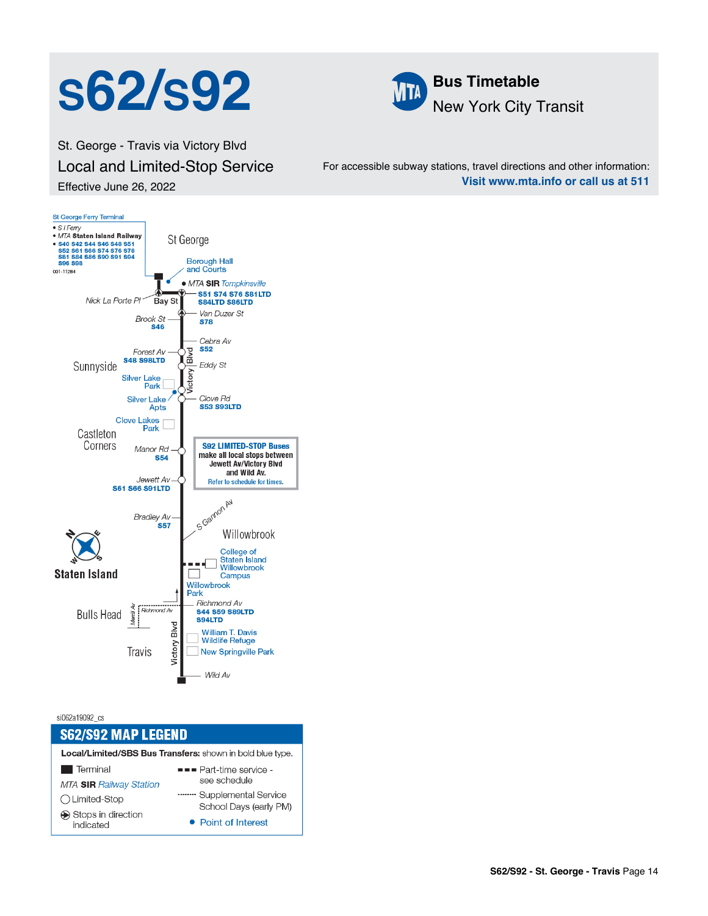## **S62/S92 M Bus Timetable**



St. George - Travis via Victory Blvd Local and Limited-Stop Service Effective June 26, 2022

For accessible subway stations, travel directions and other information: **Visit www.mta.info or call us at 511**



si062a19092 cs

### **S62/S92 MAP LEGEND**

Local/Limited/SBS Bus Transfers: shown in bold blue type.

| Terminal                                                     | $\blacksquare$ Part-time service -                                    |  |  |  |
|--------------------------------------------------------------|-----------------------------------------------------------------------|--|--|--|
| <b>MTA SIR Railway Station</b>                               | see schedule                                                          |  |  |  |
| ◯ Limited-Stop<br>$\bigcirc$ Stops in direction<br>indicated | Supplemental Service<br>School Days (early PM)<br>• Point of Interest |  |  |  |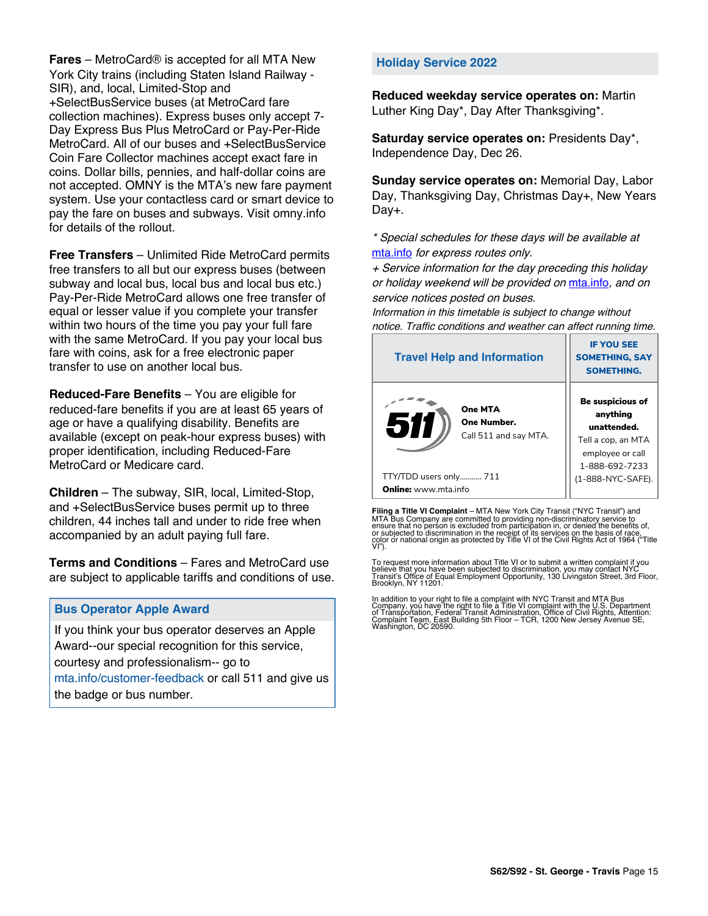**Fares** – MetroCard® is accepted for all MTA New York City trains (including Staten Island Railway - SIR), and, local, Limited-Stop and +SelectBusService buses (at MetroCard fare collection machines). Express buses only accept 7- Day Express Bus Plus MetroCard or Pay-Per-Ride MetroCard. All of our buses and +SelectBusService Coin Fare Collector machines accept exact fare in coins. Dollar bills, pennies, and half-dollar coins are not accepted. OMNY is the MTA's new fare payment system. Use your contactless card or smart device to pay the fare on buses and subways. Visit omny.info for details of the rollout.

**Free Transfers** – Unlimited Ride MetroCard permits free transfers to all but our express buses (between subway and local bus, local bus and local bus etc.) Pay-Per-Ride MetroCard allows one free transfer of equal or lesser value if you complete your transfer within two hours of the time you pay your full fare with the same MetroCard. If you pay your local bus fare with coins, ask for a free electronic paper transfer to use on another local bus.

**Reduced-Fare Benefits** – You are eligible for reduced-fare benefits if you are at least 65 years of age or have a qualifying disability. Benefits are available (except on peak-hour express buses) with proper identification, including Reduced-Fare MetroCard or Medicare card.

**Children** – The subway, SIR, local, Limited-Stop, and +SelectBusService buses permit up to three children, 44 inches tall and under to ride free when accompanied by an adult paying full fare.

**Terms and Conditions** – Fares and MetroCard use are subject to applicable tariffs and conditions of use.

#### **Bus Operator Apple Award**

If you think your bus operator deserves an Apple Award--our special recognition for this service, courtesy and professionalism-- go to mta.info/customer-feedback or call 511 and give us the badge or bus number.

#### **Holiday Service 2022**

**Reduced weekday service operates on:** Martin Luther King Day\*, Day After Thanksgiving\*.

**Saturday service operates on:** Presidents Day\*, Independence Day, Dec 26.

**Sunday service operates on:** Memorial Day, Labor Day, Thanksgiving Day, Christmas Day+, New Years Day+.

\* Special schedules for these days will be available at [mta.info](https://new.mta.info/) for express routes only.

+ Service information for the day preceding this holiday or holiday weekend will be provided on [mta.info](https://new.mta.info/), and on service notices posted on buses.

Information in this timetable is subject to change without notice. Traffic conditions and weather can affect running time.

| <b>Travel Help and Information</b>                     | <b>IF YOU SEE</b><br><b>SOMETHING, SAY</b><br><b>SOMETHING.</b>                                                |  |
|--------------------------------------------------------|----------------------------------------------------------------------------------------------------------------|--|
| One MTA<br>511<br>One Number.<br>Call 511 and say MTA. | <b>Be suspicious of</b><br>anything<br>unattended.<br>Tell a cop, an MTA<br>employee or call<br>1-888-692-7233 |  |
| TTY/TDD users only 711                                 | (1-888-NYC-SAFE).                                                                                              |  |
| <b>Online:</b> www.mta.info                            |                                                                                                                |  |

**Filing a Title VI Complaint** – MTA New York City Transit ("NYC Transit") and<br>MTA Bus Company are committed to providing non-discriminatory service to<br>ensure that no person is excluded from participation in, or denied the

To request more information about Title VI or to submit a written complaint if you believe that you have been subjected to discrimination, you may contact NYC<br>Transit's Office of Equal Employment Opportunity, 130 Livingston Street, 3rd Floor,<br>Brooklyn, NY 11201.

In addition to your right to file a complaint with NYC Transit and MTA Bus<br>Company, you have the right to file a Title VI complaint with the U.S. Department<br>of Transportation, Federal Transit Administration, Office of Civi